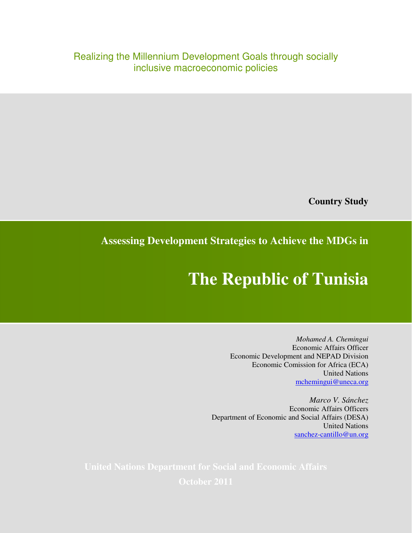Realizing the Millennium Development Goals through socially inclusive macroeconomic policies

**Country Study** 

**Assessing Development Strategies to Achieve the MDGs in** 

# **The Republic of Tunisia**

*Mohamed A. Chemingui*  Economic Affairs Officer Economic Development and NEPAD Division Economic Comission for Africa (ECA) United Nations mchemingui@uneca.org

*Marco V. Sánchez*  Economic Affairs Officers Department of Economic and Social Affairs (DESA) United Nations sanchez-cantillo@un.org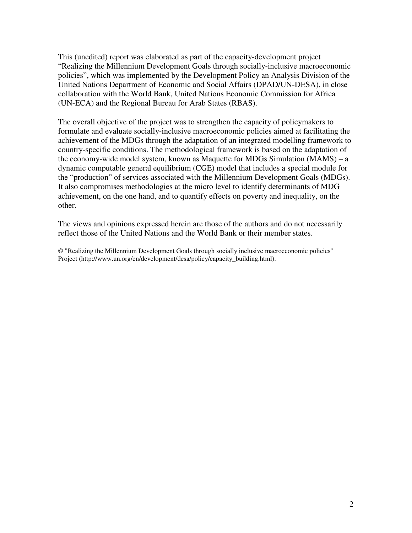This (unedited) report was elaborated as part of the capacity-development project "Realizing the Millennium Development Goals through socially-inclusive macroeconomic policies", which was implemented by the Development Policy an Analysis Division of the United Nations Department of Economic and Social Affairs (DPAD/UN-DESA), in close collaboration with the World Bank, United Nations Economic Commission for Africa (UN-ECA) and the Regional Bureau for Arab States (RBAS).

The overall objective of the project was to strengthen the capacity of policymakers to formulate and evaluate socially-inclusive macroeconomic policies aimed at facilitating the achievement of the MDGs through the adaptation of an integrated modelling framework to country-specific conditions. The methodological framework is based on the adaptation of the economy-wide model system, known as Maquette for MDGs Simulation (MAMS) – a dynamic computable general equilibrium (CGE) model that includes a special module for the "production" of services associated with the Millennium Development Goals (MDGs). It also compromises methodologies at the micro level to identify determinants of MDG achievement, on the one hand, and to quantify effects on poverty and inequality, on the other.

The views and opinions expressed herein are those of the authors and do not necessarily reflect those of the United Nations and the World Bank or their member states.

© "Realizing the Millennium Development Goals through socially inclusive macroeconomic policies" Project (http://www.un.org/en/development/desa/policy/capacity\_building.html).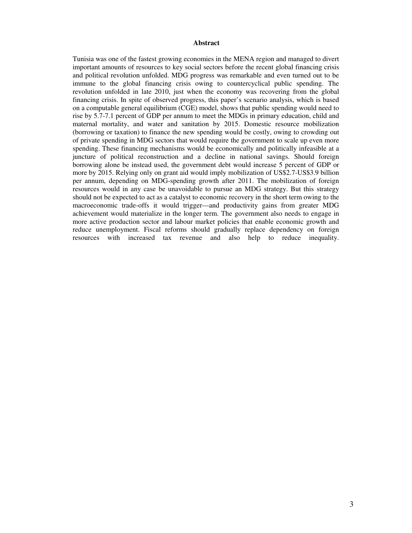#### **Abstract**

Tunisia was one of the fastest growing economies in the MENA region and managed to divert important amounts of resources to key social sectors before the recent global financing crisis and political revolution unfolded. MDG progress was remarkable and even turned out to be immune to the global financing crisis owing to countercyclical public spending. The revolution unfolded in late 2010, just when the economy was recovering from the global financing crisis. In spite of observed progress, this paper's scenario analysis, which is based on a computable general equilibrium (CGE) model, shows that public spending would need to rise by 5.7-7.1 percent of GDP per annum to meet the MDGs in primary education, child and maternal mortality, and water and sanitation by 2015. Domestic resource mobilization (borrowing or taxation) to finance the new spending would be costly, owing to crowding out of private spending in MDG sectors that would require the government to scale up even more spending. These financing mechanisms would be economically and politically infeasible at a juncture of political reconstruction and a decline in national savings. Should foreign borrowing alone be instead used, the government debt would increase 5 percent of GDP or more by 2015. Relying only on grant aid would imply mobilization of US\$2.7-US\$3.9 billion per annum, depending on MDG-spending growth after 2011. The mobilization of foreign resources would in any case be unavoidable to pursue an MDG strategy. But this strategy should not be expected to act as a catalyst to economic recovery in the short term owing to the macroeconomic trade-offs it would trigger—and productivity gains from greater MDG achievement would materialize in the longer term. The government also needs to engage in more active production sector and labour market policies that enable economic growth and reduce unemployment. Fiscal reforms should gradually replace dependency on foreign resources with increased tax revenue and also help to reduce inequality.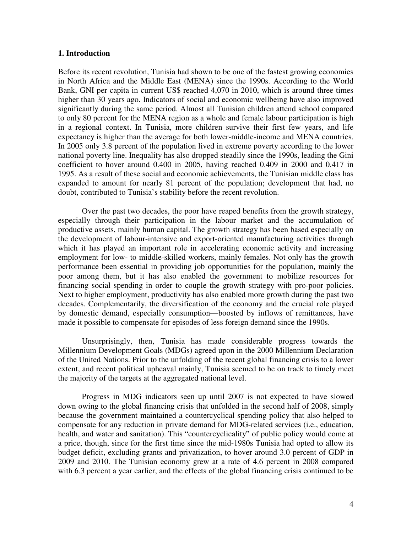## **1. Introduction**

Before its recent revolution, Tunisia had shown to be one of the fastest growing economies in North Africa and the Middle East (MENA) since the 1990s. According to the World Bank, GNI per capita in current US\$ reached 4,070 in 2010, which is around three times higher than 30 years ago. Indicators of social and economic wellbeing have also improved significantly during the same period. Almost all Tunisian children attend school compared to only 80 percent for the MENA region as a whole and female labour participation is high in a regional context. In Tunisia, more children survive their first few years, and life expectancy is higher than the average for both lower-middle-income and MENA countries. In 2005 only 3.8 percent of the population lived in extreme poverty according to the lower national poverty line. Inequality has also dropped steadily since the 1990s, leading the Gini coefficient to hover around 0.400 in 2005, having reached 0.409 in 2000 and 0.417 in 1995. As a result of these social and economic achievements, the Tunisian middle class has expanded to amount for nearly 81 percent of the population; development that had, no doubt, contributed to Tunisia's stability before the recent revolution.

Over the past two decades, the poor have reaped benefits from the growth strategy, especially through their participation in the labour market and the accumulation of productive assets, mainly human capital. The growth strategy has been based especially on the development of labour-intensive and export-oriented manufacturing activities through which it has played an important role in accelerating economic activity and increasing employment for low- to middle-skilled workers, mainly females. Not only has the growth performance been essential in providing job opportunities for the population, mainly the poor among them, but it has also enabled the government to mobilize resources for financing social spending in order to couple the growth strategy with pro-poor policies. Next to higher employment, productivity has also enabled more growth during the past two decades. Complementarily, the diversification of the economy and the crucial role played by domestic demand, especially consumption—boosted by inflows of remittances, have made it possible to compensate for episodes of less foreign demand since the 1990s.

Unsurprisingly, then, Tunisia has made considerable progress towards the Millennium Development Goals (MDGs) agreed upon in the 2000 Millennium Declaration of the United Nations. Prior to the unfolding of the recent global financing crisis to a lower extent, and recent political upheaval mainly, Tunisia seemed to be on track to timely meet the majority of the targets at the aggregated national level.

Progress in MDG indicators seen up until 2007 is not expected to have slowed down owing to the global financing crisis that unfolded in the second half of 2008, simply because the government maintained a countercyclical spending policy that also helped to compensate for any reduction in private demand for MDG-related services (i.e., education, health, and water and sanitation). This "countercyclicality" of public policy would come at a price, though, since for the first time since the mid-1980s Tunisia had opted to allow its budget deficit, excluding grants and privatization, to hover around 3.0 percent of GDP in 2009 and 2010. The Tunisian economy grew at a rate of 4.6 percent in 2008 compared with 6.3 percent a year earlier, and the effects of the global financing crisis continued to be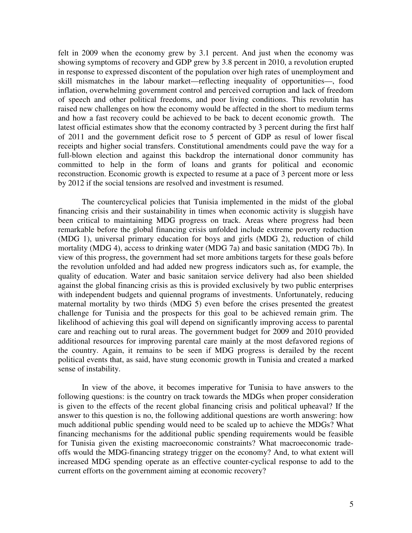felt in 2009 when the economy grew by 3.1 percent. And just when the economy was showing symptoms of recovery and GDP grew by 3.8 percent in 2010, a revolution erupted in response to expressed discontent of the population over high rates of unemployment and skill mismatches in the labour market—reflecting inequality of opportunities—, food inflation, overwhelming government control and perceived corruption and lack of freedom of speech and other political freedoms, and poor living conditions. This revolutin has raised new challenges on how the economy would be affected in the short to medium terms and how a fast recovery could be achieved to be back to decent economic growth. The latest official estimates show that the economy contracted by 3 percent during the first half of 2011 and the government deficit rose to 5 percent of GDP as resul of lower fiscal receipts and higher social transfers. Constitutional amendments could pave the way for a full-blown election and against this backdrop the international donor community has committed to help in the form of loans and grants for political and economic reconstruction. Economic growth is expected to resume at a pace of 3 percent more or less by 2012 if the social tensions are resolved and investment is resumed.

The countercyclical policies that Tunisia implemented in the midst of the global financing crisis and their sustainability in times when economic activity is sluggish have been critical to maintaining MDG progress on track. Areas where progress had been remarkable before the global financing crisis unfolded include extreme poverty reduction (MDG 1), universal primary education for boys and girls (MDG 2), reduction of child mortality (MDG 4), access to drinking water (MDG 7a) and basic sanitation (MDG 7b). In view of this progress, the government had set more ambitions targets for these goals before the revolution unfolded and had added new progress indicators such as, for example, the quality of education. Water and basic sanitaion service delivery had also been shielded against the global financing crisis as this is provided exclusively by two public enterprises with independent budgets and quiennal programs of investments. Unfortunately, reducing maternal mortality by two thirds (MDG 5) even before the crises presented the greatest challenge for Tunisia and the prospects for this goal to be achieved remain grim. The likelihood of achieving this goal will depend on significantly improving access to parental care and reaching out to rural areas. The government budget for 2009 and 2010 provided additional resources for improving parental care mainly at the most defavored regions of the country. Again, it remains to be seen if MDG progress is derailed by the recent political events that, as said, have stung economic growth in Tunisia and created a marked sense of instability.

In view of the above, it becomes imperative for Tunisia to have answers to the following questions: is the country on track towards the MDGs when proper consideration is given to the effects of the recent global financing crisis and political upheaval? If the answer to this question is no, the following additional questions are worth answering: how much additional public spending would need to be scaled up to achieve the MDGs? What financing mechanisms for the additional public spending requirements would be feasible for Tunisia given the existing macroeconomic constraints? What macroeconomic tradeoffs would the MDG-financing strategy trigger on the economy? And, to what extent will increased MDG spending operate as an effective counter-cyclical response to add to the current efforts on the government aiming at economic recovery?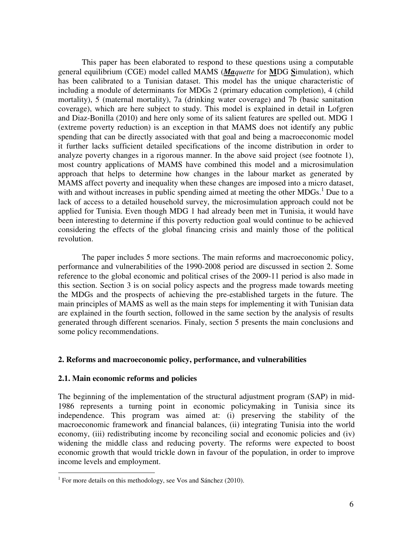This paper has been elaborated to respond to these questions using a computable general equilibrium (CGE) model called MAMS (*Maquette* for **M**DG **S**imulation), which has been calibrated to a Tunisian dataset. This model has the unique characteristic of including a module of determinants for MDGs 2 (primary education completion), 4 (child mortality), 5 (maternal mortality), 7a (drinking water coverage) and 7b (basic sanitation coverage), which are here subject to study. This model is explained in detail in Lofgren and Diaz-Bonilla (2010) and here only some of its salient features are spelled out. MDG 1 (extreme poverty reduction) is an exception in that MAMS does not identify any public spending that can be directly associated with that goal and being a macroeconomic model it further lacks sufficient detailed specifications of the income distribution in order to analyze poverty changes in a rigorous manner. In the above said project (see footnote 1), most country applications of MAMS have combined this model and a microsimulation approach that helps to determine how changes in the labour market as generated by MAMS affect poverty and inequality when these changes are imposed into a micro dataset, with and without increases in public spending aimed at meeting the other MDGs.<sup>1</sup> Due to a lack of access to a detailed household survey, the microsimulation approach could not be applied for Tunisia. Even though MDG 1 had already been met in Tunisia, it would have been interesting to determine if this poverty reduction goal would continue to be achieved considering the effects of the global financing crisis and mainly those of the political revolution.

The paper includes 5 more sections. The main reforms and macroeconomic policy, performance and vulnerabilities of the 1990-2008 period are discussed in section 2. Some reference to the global economic and political crises of the 2009-11 period is also made in this section. Section 3 is on social policy aspects and the progress made towards meeting the MDGs and the prospects of achieving the pre-established targets in the future. The main principles of MAMS as well as the main steps for implementing it with Tunisian data are explained in the fourth section, followed in the same section by the analysis of results generated through different scenarios. Finaly, section 5 presents the main conclusions and some policy recommendations.

## **2. Reforms and macroeconomic policy, performance, and vulnerabilities**

#### **2.1. Main economic reforms and policies**

The beginning of the implementation of the structural adjustment program (SAP) in mid-1986 represents a turning point in economic policymaking in Tunisia since its independence. This program was aimed at: (i) preserving the stability of the macroeconomic framework and financial balances, (ii) integrating Tunisia into the world economy, (iii) redistributing income by reconciling social and economic policies and (iv) widening the middle class and reducing poverty. The reforms were expected to boost economic growth that would trickle down in favour of the population, in order to improve income levels and employment.

 1 For more details on this methodology, see Vos and Sánchez (2010).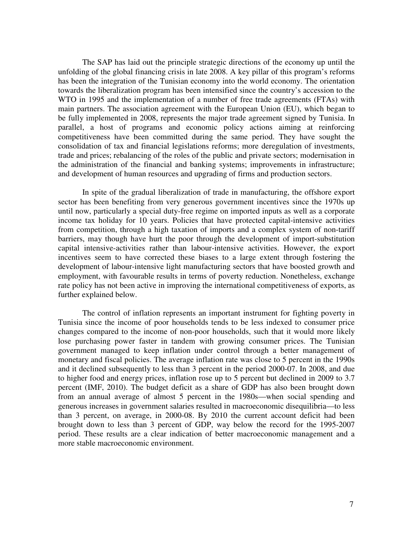The SAP has laid out the principle strategic directions of the economy up until the unfolding of the global financing crisis in late 2008. A key pillar of this program's reforms has been the integration of the Tunisian economy into the world economy. The orientation towards the liberalization program has been intensified since the country's accession to the WTO in 1995 and the implementation of a number of free trade agreements (FTAs) with main partners. The association agreement with the European Union (EU), which began to be fully implemented in 2008, represents the major trade agreement signed by Tunisia. In parallel, a host of programs and economic policy actions aiming at reinforcing competitiveness have been committed during the same period. They have sought the consolidation of tax and financial legislations reforms; more deregulation of investments, trade and prices; rebalancing of the roles of the public and private sectors; modernisation in the administration of the financial and banking systems; improvements in infrastructure; and development of human resources and upgrading of firms and production sectors.

In spite of the gradual liberalization of trade in manufacturing, the offshore export sector has been benefiting from very generous government incentives since the 1970s up until now, particularly a special duty-free regime on imported inputs as well as a corporate income tax holiday for 10 years. Policies that have protected capital-intensive activities from competition, through a high taxation of imports and a complex system of non-tariff barriers, may though have hurt the poor through the development of import-substitution capital intensive-activities rather than labour-intensive activities. However, the export incentives seem to have corrected these biases to a large extent through fostering the development of labour-intensive light manufacturing sectors that have boosted growth and employment, with favourable results in terms of poverty reduction. Nonetheless, exchange rate policy has not been active in improving the international competitiveness of exports, as further explained below.

The control of inflation represents an important instrument for fighting poverty in Tunisia since the income of poor households tends to be less indexed to consumer price changes compared to the income of non-poor households, such that it would more likely lose purchasing power faster in tandem with growing consumer prices. The Tunisian government managed to keep inflation under control through a better management of monetary and fiscal policies. The average inflation rate was close to 5 percent in the 1990s and it declined subsequently to less than 3 percent in the period 2000-07. In 2008, and due to higher food and energy prices, inflation rose up to 5 percent but declined in 2009 to 3.7 percent (IMF, 2010). The budget deficit as a share of GDP has also been brought down from an annual average of almost 5 percent in the 1980s—when social spending and generous increases in government salaries resulted in macroeconomic disequilibria—to less than 3 percent, on average, in 2000-08. By 2010 the current account deficit had been brought down to less than 3 percent of GDP, way below the record for the 1995-2007 period. These results are a clear indication of better macroeconomic management and a more stable macroeconomic environment.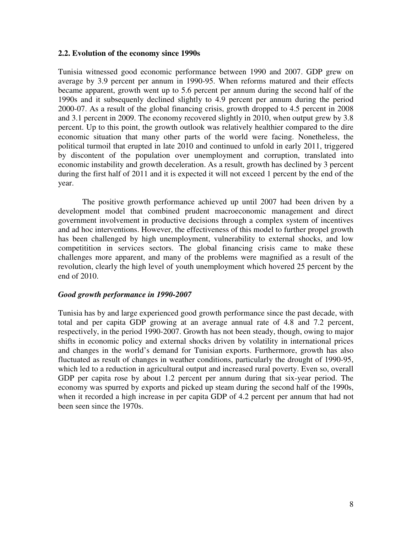## **2.2. Evolution of the economy since 1990s**

Tunisia witnessed good economic performance between 1990 and 2007. GDP grew on average by 3.9 percent per annum in 1990-95. When reforms matured and their effects became apparent, growth went up to 5.6 percent per annum during the second half of the 1990s and it subsequenly declined slightly to 4.9 percent per annum during the period 2000-07. As a result of the global financing crisis, growth dropped to 4.5 percent in 2008 and 3.1 percent in 2009. The economy recovered slightly in 2010, when output grew by 3.8 percent. Up to this point, the growth outlook was relatively healthier compared to the dire economic situation that many other parts of the world were facing. Nonetheless, the political turmoil that erupted in late 2010 and continued to unfold in early 2011, triggered by discontent of the population over unemployment and corruption, translated into economic instability and growth deceleration. As a result, growth has declined by 3 percent during the first half of 2011 and it is expected it will not exceed 1 percent by the end of the year.

The positive growth performance achieved up until 2007 had been driven by a development model that combined prudent macroeconomic management and direct government involvement in productive decisions through a complex system of incentives and ad hoc interventions. However, the effectiveness of this model to further propel growth has been challenged by high unemployment, vulnerability to external shocks, and low competitition in services sectors. The global financing crisis came to make these challenges more apparent, and many of the problems were magnified as a result of the revolution, clearly the high level of youth unemployment which hovered 25 percent by the end of 2010.

## *Good growth performance in 1990-2007*

Tunisia has by and large experienced good growth performance since the past decade, with total and per capita GDP growing at an average annual rate of 4.8 and 7.2 percent, respectively, in the period 1990-2007. Growth has not been steady, though, owing to major shifts in economic policy and external shocks driven by volatility in international prices and changes in the world's demand for Tunisian exports. Furthermore, growth has also fluctuated as result of changes in weather conditions, particularly the drought of 1990-95, which led to a reduction in agricultural output and increased rural poverty. Even so, overall GDP per capita rose by about 1.2 percent per annum during that six-year period. The economy was spurred by exports and picked up steam during the second half of the 1990s, when it recorded a high increase in per capita GDP of 4.2 percent per annum that had not been seen since the 1970s.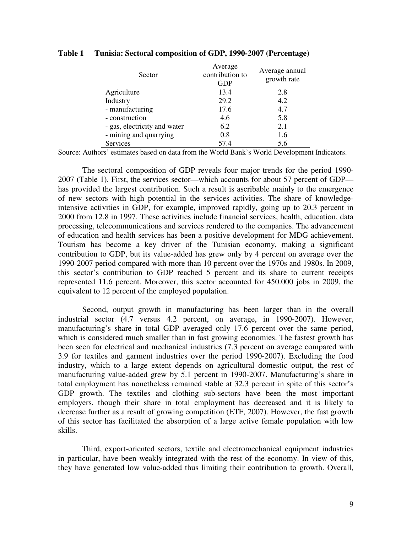| Sector                       | Average<br>contribution to<br><b>GDP</b> | Average annual<br>growth rate |
|------------------------------|------------------------------------------|-------------------------------|
| Agriculture                  | 13.4                                     | 2.8                           |
| Industry                     | 29.2                                     | 4.2                           |
| - manufacturing              | 17.6                                     | 4.7                           |
| - construction               | 4.6                                      | 5.8                           |
| - gas, electricity and water | 6.2                                      | 2.1                           |
| - mining and quarrying       | 0.8                                      | 1.6                           |
| Services                     | 57.4                                     | 5.6                           |

**Table 1 Tunisia: Sectoral composition of GDP, 1990-2007 (Percentage)** 

Source: Authors' estimates based on data from the World Bank's World Development Indicators.

The sectoral composition of GDP reveals four major trends for the period 1990- 2007 (Table 1). First, the services sector—which accounts for about 57 percent of GDP has provided the largest contribution. Such a result is ascribable mainly to the emergence of new sectors with high potential in the services activities. The share of knowledgeintensive activities in GDP, for example, improved rapidly, going up to 20.3 percent in 2000 from 12.8 in 1997. These activities include financial services, health, education, data processing, telecommunications and services rendered to the companies. The advancement of education and health services has been a positive development for MDG achievement. Tourism has become a key driver of the Tunisian economy, making a significant contribution to GDP, but its value-added has grew only by 4 percent on average over the 1990-2007 period compared with more than 10 percent over the 1970s and 1980s. In 2009, this sector's contribution to GDP reached 5 percent and its share to current receipts represented 11.6 percent. Moreover, this sector accounted for 450.000 jobs in 2009, the equivalent to 12 percent of the employed population.

Second, output growth in manufacturing has been larger than in the overall industrial sector (4.7 versus 4.2 percent, on average, in 1990-2007). However, manufacturing's share in total GDP averaged only 17.6 percent over the same period, which is considered much smaller than in fast growing economies. The fastest growth has been seen for electrical and mechanical industries (7.3 percent on average compared with 3.9 for textiles and garment industries over the period 1990-2007). Excluding the food industry, which to a large extent depends on agricultural domestic output, the rest of manufacturing value-added grew by 5.1 percent in 1990-2007. Manufacturing's share in total employment has nonetheless remained stable at 32.3 percent in spite of this sector's GDP growth. The textiles and clothing sub-sectors have been the most important employers, though their share in total employment has decreased and it is likely to decrease further as a result of growing competition (ETF, 2007). However, the fast growth of this sector has facilitated the absorption of a large active female population with low skills.

Third, export-oriented sectors, textile and electromechanical equipment industries in particular, have been weakly integrated with the rest of the economy. In view of this, they have generated low value-added thus limiting their contribution to growth. Overall,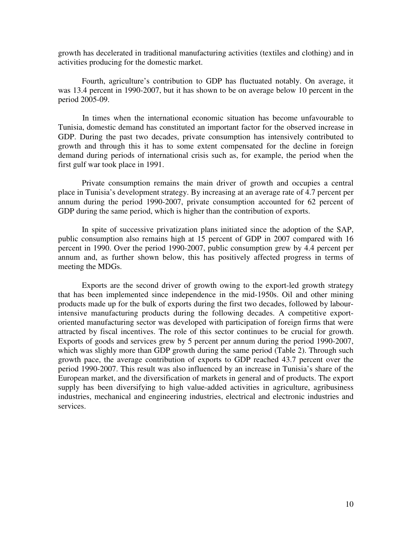growth has decelerated in traditional manufacturing activities (textiles and clothing) and in activities producing for the domestic market.

Fourth, agriculture's contribution to GDP has fluctuated notably. On average, it was 13.4 percent in 1990-2007, but it has shown to be on average below 10 percent in the period 2005-09.

In times when the international economic situation has become unfavourable to Tunisia, domestic demand has constituted an important factor for the observed increase in GDP. During the past two decades, private consumption has intensively contributed to growth and through this it has to some extent compensated for the decline in foreign demand during periods of international crisis such as, for example, the period when the first gulf war took place in 1991.

Private consumption remains the main driver of growth and occupies a central place in Tunisia's development strategy. By increasing at an average rate of 4.7 percent per annum during the period 1990-2007, private consumption accounted for 62 percent of GDP during the same period, which is higher than the contribution of exports.

In spite of successive privatization plans initiated since the adoption of the SAP, public consumption also remains high at 15 percent of GDP in 2007 compared with 16 percent in 1990. Over the period 1990-2007, public consumption grew by 4.4 percent per annum and, as further shown below, this has positively affected progress in terms of meeting the MDGs.

Exports are the second driver of growth owing to the export-led growth strategy that has been implemented since independence in the mid-1950s. Oil and other mining products made up for the bulk of exports during the first two decades, followed by labourintensive manufacturing products during the following decades. A competitive exportoriented manufacturing sector was developed with participation of foreign firms that were attracted by fiscal incentives. The role of this sector continues to be crucial for growth. Exports of goods and services grew by 5 percent per annum during the period 1990-2007, which was slighly more than GDP growth during the same period (Table 2). Through such growth pace, the average contribution of exports to GDP reached 43.7 percent over the period 1990-2007. This result was also influenced by an increase in Tunisia's share of the European market, and the diversification of markets in general and of products. The export supply has been diversifying to high value-added activities in agriculture, agribusiness industries, mechanical and engineering industries, electrical and electronic industries and services.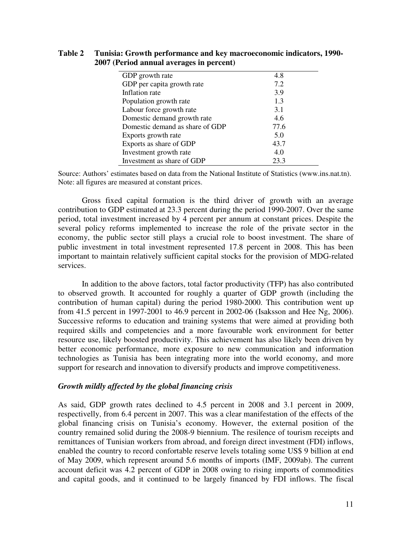| 4.8  |
|------|
| 7.2  |
| 3.9  |
| 1.3  |
| 3.1  |
| 4.6  |
| 77.6 |
| 5.0  |
| 43.7 |
| 4.0  |
| 23.3 |
|      |

## **Table 2 Tunisia: Growth performance and key macroeconomic indicators, 1990- 2007 (Period annual averages in percent)**

Source: Authors' estimates based on data from the National Institute of Statistics (www.ins.nat.tn). Note: all figures are measured at constant prices.

Gross fixed capital formation is the third driver of growth with an average contribution to GDP estimated at 23.3 percent during the period 1990-2007. Over the same period, total investment increased by 4 percent per annum at constant prices. Despite the several policy reforms implemented to increase the role of the private sector in the economy, the public sector still plays a crucial role to boost investment. The share of public investment in total investment represented 17.8 percent in 2008. This has been important to maintain relatively sufficient capital stocks for the provision of MDG-related services.

In addition to the above factors, total factor productivity (TFP) has also contributed to observed growth. It accounted for roughly a quarter of GDP growth (including the contribution of human capital) during the period 1980-2000. This contribution went up from 41.5 percent in 1997-2001 to 46.9 percent in 2002-06 (Isaksson and Hee Ng, 2006). Successive reforms to education and training systems that were aimed at providing both required skills and competencies and a more favourable work environment for better resource use, likely boosted productivity. This achievement has also likely been driven by better economic performance, more exposure to new communication and information technologies as Tunisia has been integrating more into the world economy, and more support for research and innovation to diversify products and improve competitiveness.

## *Growth mildly affected by the global financing crisis*

As said, GDP growth rates declined to 4.5 percent in 2008 and 3.1 percent in 2009, respectivelly, from 6.4 percent in 2007. This was a clear manifestation of the effects of the global financing crisis on Tunisia's economy. However, the external position of the country remained solid during the 2008-9 biennium. The resilence of tourism receipts and remittances of Tunisian workers from abroad, and foreign direct investment (FDI) inflows, enabled the country to record confortable reserve levels totaling some US\$ 9 billion at end of May 2009, which represent around 5.6 months of imports (IMF, 2009ab). The current account deficit was 4.2 percent of GDP in 2008 owing to rising imports of commodities and capital goods, and it continued to be largely financed by FDI inflows. The fiscal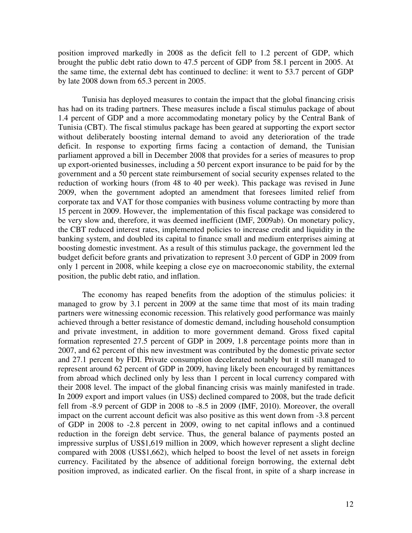position improved markedly in 2008 as the deficit fell to 1.2 percent of GDP, which brought the public debt ratio down to 47.5 percent of GDP from 58.1 percent in 2005. At the same time, the external debt has continued to decline: it went to 53.7 percent of GDP by late 2008 down from 65.3 percent in 2005.

Tunisia has deployed measures to contain the impact that the global financing crisis has had on its trading partners. These measures include a fiscal stimulus package of about 1.4 percent of GDP and a more accommodating monetary policy by the Central Bank of Tunisia (CBT). The fiscal stimulus package has been geared at supporting the export sector without deliberately boosting internal demand to avoid any deterioration of the trade deficit. In response to exporting firms facing a contaction of demand, the Tunisian parliament approved a bill in December 2008 that provides for a series of measures to prop up export-oriented businesses, including a 50 percent export insurance to be paid for by the government and a 50 percent state reimbursement of social security expenses related to the reduction of working hours (from 48 to 40 per week). This package was revised in June 2009, when the government adopted an amendment that foresees limited relief from corporate tax and VAT for those companies with business volume contracting by more than 15 percent in 2009. However, the implementation of this fiscal package was considered to be very slow and, therefore, it was deemed inefficient (IMF, 2009ab). On monetary policy, the CBT reduced interest rates, implemented policies to increase credit and liquidity in the banking system, and doubled its capital to finance small and medium enterprises aiming at boosting domestic investment. As a result of this stimulus package, the government led the budget deficit before grants and privatization to represent 3.0 percent of GDP in 2009 from only 1 percent in 2008, while keeping a close eye on macroeconomic stability, the external position, the public debt ratio, and inflation.

The economy has reaped benefits from the adoption of the stimulus policies: it managed to grow by 3.1 percent in 2009 at the same time that most of its main trading partners were witnessing economic recession. This relatively good performance was mainly achieved through a better resistance of domestic demand, including household consumption and private investment, in addition to more government demand. Gross fixed capital formation represented 27.5 percent of GDP in 2009, 1.8 percentage points more than in 2007, and 62 percent of this new investment was contributed by the domestic private sector and 27.1 percent by FDI. Private consumption decelerated notably but it still managed to represent around 62 percent of GDP in 2009, having likely been encouraged by remittances from abroad which declined only by less than 1 percent in local currency compared with their 2008 level. The impact of the global financing crisis was mainly manifested in trade. In 2009 export and import values (in US\$) declined compared to 2008, but the trade deficit fell from -8.9 percent of GDP in 2008 to -8.5 in 2009 (IMF, 2010). Moreover, the overall impact on the current account deficit was also positive as this went down from -3.8 percent of GDP in 2008 to -2.8 percent in 2009, owing to net capital inflows and a continued reduction in the foreign debt service. Thus, the general balance of payments posted an impressive surplus of US\$1,619 million in 2009, which however represent a slight decline compared with 2008 (US\$1,662), which helped to boost the level of net assets in foreign currency. Facilitated by the absence of additional foreign borrowing, the external debt position improved, as indicated earlier. On the fiscal front, in spite of a sharp increase in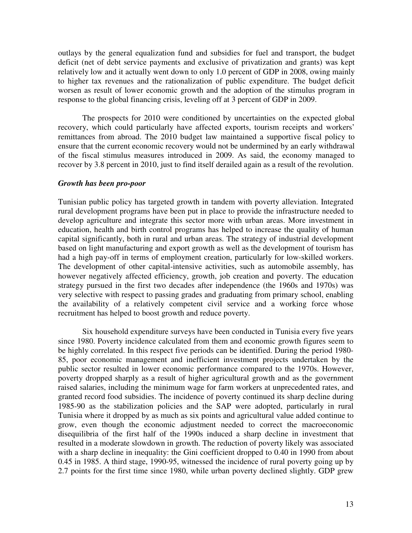outlays by the general equalization fund and subsidies for fuel and transport, the budget deficit (net of debt service payments and exclusive of privatization and grants) was kept relatively low and it actually went down to only 1.0 percent of GDP in 2008, owing mainly to higher tax revenues and the rationalization of public expenditure. The budget deficit worsen as result of lower economic growth and the adoption of the stimulus program in response to the global financing crisis, leveling off at 3 percent of GDP in 2009.

The prospects for 2010 were conditioned by uncertainties on the expected global recovery, which could particularly have affected exports, tourism receipts and workers' remittances from abroad. The 2010 budget law maintained a supportive fiscal policy to ensure that the current economic recovery would not be undermined by an early withdrawal of the fiscal stimulus measures introduced in 2009. As said, the economy managed to recover by 3.8 percent in 2010, just to find itself derailed again as a result of the revolution.

## *Growth has been pro-poor*

Tunisian public policy has targeted growth in tandem with poverty alleviation. Integrated rural development programs have been put in place to provide the infrastructure needed to develop agriculture and integrate this sector more with urban areas. More investment in education, health and birth control programs has helped to increase the quality of human capital significantly, both in rural and urban areas. The strategy of industrial development based on light manufacturing and export growth as well as the development of tourism has had a high pay-off in terms of employment creation, particularly for low-skilled workers. The development of other capital-intensive activities, such as automobile assembly, has however negatively affected efficiency, growth, job creation and poverty. The education strategy pursued in the first two decades after independence (the 1960s and 1970s) was very selective with respect to passing grades and graduating from primary school, enabling the availability of a relatively competent civil service and a working force whose recruitment has helped to boost growth and reduce poverty.

Six household expenditure surveys have been conducted in Tunisia every five years since 1980. Poverty incidence calculated from them and economic growth figures seem to be highly correlated. In this respect five periods can be identified. During the period 1980- 85, poor economic management and inefficient investment projects undertaken by the public sector resulted in lower economic performance compared to the 1970s. However, poverty dropped sharply as a result of higher agricultural growth and as the government raised salaries, including the minimum wage for farm workers at unprecedented rates, and granted record food subsidies. The incidence of poverty continued its sharp decline during 1985-90 as the stabilization policies and the SAP were adopted, particularly in rural Tunisia where it dropped by as much as six points and agricultural value added continue to grow, even though the economic adjustment needed to correct the macroeconomic disequilibria of the first half of the 1990s induced a sharp decline in investment that resulted in a moderate slowdown in growth. The reduction of poverty likely was associated with a sharp decline in inequality: the Gini coefficient dropped to 0.40 in 1990 from about 0.45 in 1985. A third stage, 1990-95, witnessed the incidence of rural poverty going up by 2.7 points for the first time since 1980, while urban poverty declined slightly. GDP grew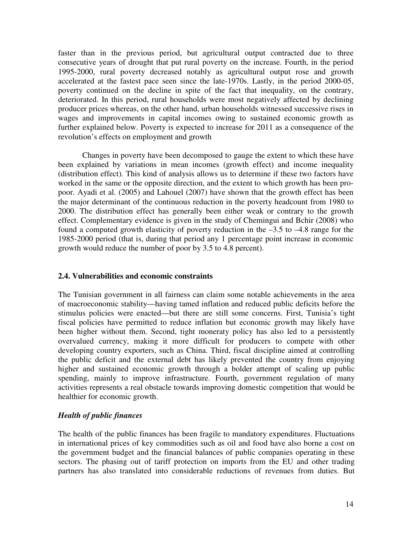faster than in the previous period, but agricultural output contracted due to three consecutive years of drought that put rural poverty on the increase. Fourth, in the period 1995-2000, rural poverty decreased notably as agricultural output rose and growth accelerated at the fastest pace seen since the late-1970s. Lastly, in the period 2000-05, poverty continued on the decline in spite of the fact that inequality, on the contrary, deteriorated. In this period, rural households were most negatively affected by declining producer prices whereas, on the other hand, urban households witnessed successive rises in wages and improvements in capital incomes owing to sustained economic growth as further explained below. Poverty is expected to increase for 2011 as a consequence of the revolution's effects on employment and growth

Changes in poverty have been decomposed to gauge the extent to which these have been explained by variations in mean incomes (growth effect) and income inequality (distribution effect). This kind of analysis allows us to determine if these two factors have worked in the same or the opposite direction, and the extent to which growth has been propoor. Ayadi et al. (2005) and Lahouel (2007) have shown that the growth effect has been the major determinant of the continuous reduction in the poverty headcount from 1980 to 2000. The distribution effect has generally been either weak or contrary to the growth effect. Complementary evidence is given in the study of Chemingui and Bchir (2008) who found a computed growth elasticity of poverty reduction in the –3.5 to –4.8 range for the 1985-2000 period (that is, during that period any 1 percentage point increase in economic growth would reduce the number of poor by 3.5 to 4.8 percent).

## **2.4. Vulnerabilities and economic constraints**

The Tunisian government in all fairness can claim some notable achievements in the area of macroeconomic stability—having tamed inflation and reduced public deficits before the stimulus policies were enacted—but there are still some concerns. First, Tunisia's tight fiscal policies have permitted to reduce inflation but economic growth may likely have been higher without them. Second, tight moneraty policy has also led to a persistently overvalued currency, making it more difficult for producers to compete with other developing country exporters, such as China. Third, fiscal discipline aimed at controlling the public deficit and the external debt has likely prevented the country from enjoying higher and sustained economic growth through a bolder attempt of scaling up public spending, mainly to improve infrastructure. Fourth, government regulation of many activities represents a real obstacle towards improving domestic competition that would be healthier for economic growth.

## *Health of public finances*

The health of the public finances has been fragile to mandatory expenditures. Fluctuations in international prices of key commodities such as oil and food have also borne a cost on the government budget and the financial balances of public companies operating in these sectors. The phasing out of tariff protection on imports from the EU and other trading partners has also translated into considerable reductions of revenues from duties. But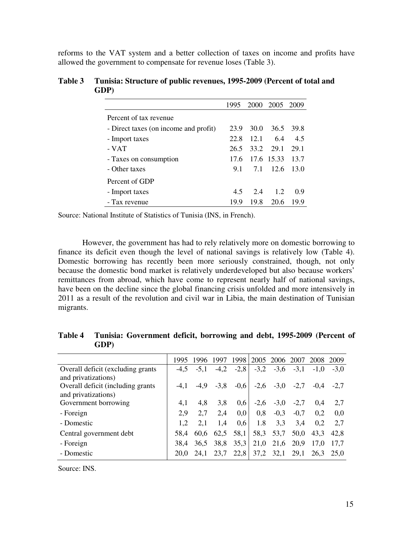reforms to the VAT system and a better collection of taxes on income and profits have allowed the government to compensate for revenue loses (Table 3).

## **Table 3 Tunisia: Structure of public revenues, 1995-2009 (Percent of total and GDP)**

|                                       | 1995 | 2000 | 2005 2009  |      |
|---------------------------------------|------|------|------------|------|
| Percent of tax revenue                |      |      |            |      |
| - Direct taxes (on income and profit) | 23.9 | 30.0 | 36.5       | 39.8 |
| - Import taxes                        | 22.8 | 12.1 | 6.4        | 4.5  |
| - VAT                                 | 26.5 | 33.2 | 29.1       | 29.1 |
| - Taxes on consumption                | 17.6 |      | 17.6 15.33 | 13.7 |
| - Other taxes                         | 9.1  | 7.1  | 12.6       | 13.0 |
| Percent of GDP                        |      |      |            |      |
| - Import taxes                        | 45   | 2.4  | 12         | 0.9  |
| - Tax revenue                         | 19.9 | 19.8 | 20.6       | 19.9 |

Source: National Institute of Statistics of Tunisia (INS, in French).

However, the government has had to rely relatively more on domestic borrowing to finance its deficit even though the level of national savings is relatively low (Table 4). Domestic borrowing has recently been more seriously constrained, though, not only because the domestic bond market is relatively underdeveloped but also because workers' remittances from abroad, which have come to represent nearly half of national savings, have been on the decline since the global financing crisis unfolded and more intensively in 2011 as a result of the revolution and civil war in Libia, the main destination of Tunisian migrants.

|                                    | 1995   | 1996   | 1997   | 1998   |        | 2005 2006 | 2007   | 2008   | 2009   |
|------------------------------------|--------|--------|--------|--------|--------|-----------|--------|--------|--------|
| Overall deficit (excluding grants) | $-4,5$ | $-5,1$ | $-4,2$ | $-2,8$ | $-3,2$ | $-3,6$    | $-3,1$ | $-1,0$ | $-3,0$ |
| and privatizations)                |        |        |        |        |        |           |        |        |        |
| Overall deficit (including grants  | $-4.1$ | $-4,9$ | $-3,8$ | $-0.6$ | $-2,6$ | $-3,0$    | $-2,7$ | $-0.4$ | $-2.7$ |
| and privatizations)                |        |        |        |        |        |           |        |        |        |
| Government borrowing               | 4.1    | 4,8    | 3,8    | 0,6    | $-2,6$ | $-3,0$    | $-2,7$ | 0.4    | 2,7    |
| - Foreign                          | 2,9    | 2,7    | 2,4    | 0,0    | 0,8    | $-0,3$    | $-0.7$ | 0,2    | 0.0    |
| - Domestic                         | 1,2    | 2,1    | 1,4    | 0,6    | 1.8    | 3,3       | 3,4    | 0,2    | 2,7    |
| Central government debt            | 58,4   | 60.6   | 62,5   | 58,1   | 58,3   | 53,7      | 50,0   | 43,3   | 42,8   |
| - Foreign                          | 38,4   | 36,5   | 38,8   | 35,3   | 21,0   | 21,6      | 20,9   | 17.0   | 17.7   |
| - Domestic                         | 20,0   | 24,1   | 23,7   | 22,8   | 37,2   | 32,1      | 29,1   | 26,3   | 25.0   |

**Table 4 Tunisia: Government deficit, borrowing and debt, 1995-2009 (Percent of GDP)** 

Source: INS.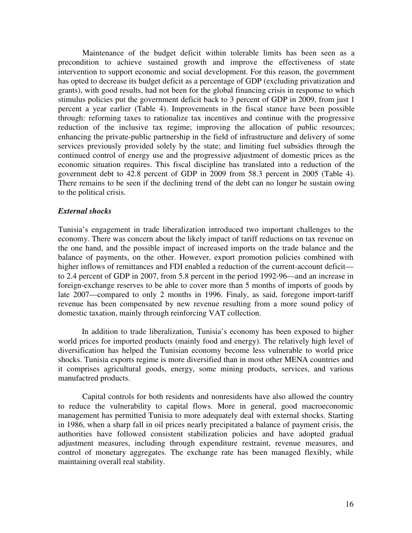Maintenance of the budget deficit within tolerable limits has been seen as a precondition to achieve sustained growth and improve the effectiveness of state intervention to support economic and social development. For this reason, the government has opted to decrease its budget deficit as a percentage of GDP (excluding privatization and grants), with good results, had not been for the global financing crisis in response to which stimulus policies put the government deficit back to 3 percent of GDP in 2009, from just 1 percent a year earlier (Table 4). Improvements in the fiscal stance have been possible through: reforming taxes to rationalize tax incentives and continue with the progressive reduction of the inclusive tax regime; improving the allocation of public resources; enhancing the private-public partnership in the field of infrastructure and delivery of some services previously provided solely by the state; and limiting fuel subsidies through the continued control of energy use and the progressive adjustment of domestic prices as the economic situation requires. This fiscal discipline has translated into a reduction of the government debt to 42.8 percent of GDP in 2009 from 58.3 percent in 2005 (Table 4). There remains to be seen if the declining trend of the debt can no longer be sustain owing to the political crisis.

## *External shocks*

Tunisia's engagement in trade liberalization introduced two important challenges to the economy. There was concern about the likely impact of tariff reductions on tax revenue on the one hand, and the possible impact of increased imports on the trade balance and the balance of payments, on the other. However, export promotion policies combined with higher inflows of remittances and FDI enabled a reduction of the current-account deficit to 2.4 percent of GDP in 2007, from 5.8 percent in the period 1992-96—and an increase in foreign-exchange reserves to be able to cover more than 5 months of imports of goods by late 2007—compared to only 2 months in 1996. Finaly, as said, foregone import-tariff revenue has been compensated by new revenue resulting from a more sound policy of domestic taxation, mainly through reinforcing VAT collection.

In addition to trade liberalization, Tunisia's economy has been exposed to higher world prices for imported products (mainly food and energy). The relatively high level of diversification has helped the Tunisian economy become less vulnerable to world price shocks. Tunisia exports regime is more diversified than in most other MENA countries and it comprises agricultural goods, energy, some mining products, services, and various manufactred products.

Capital controls for both residents and nonresidents have also allowed the country to reduce the vulnerability to capital flows. More in general, good macroeconomic management has permitted Tunisia to more adequately deal with external shocks. Starting in 1986, when a sharp fall in oil prices nearly precipitated a balance of payment crisis, the authorities have followed consistent stabilization policies and have adopted gradual adjustment measures, including through expenditure restraint, revenue measures, and control of monetary aggregates. The exchange rate has been managed flexibly, while maintaining overall real stability.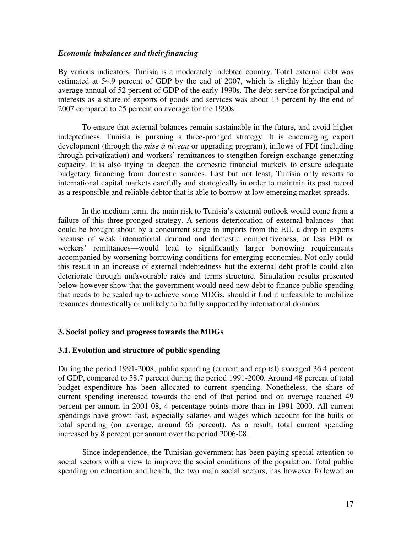## *Economic imbalances and their financing*

By various indicators, Tunisia is a moderately indebted country. Total external debt was estimated at 54.9 percent of GDP by the end of 2007, which is slighly higher than the average annual of 52 percent of GDP of the early 1990s. The debt service for principal and interests as a share of exports of goods and services was about 13 percent by the end of 2007 compared to 25 percent on average for the 1990s.

To ensure that external balances remain sustainable in the future, and avoid higher indeptedness, Tunisia is pursuing a three-pronged strategy. It is encouraging export development (through the *mise à niveau* or upgrading program), inflows of FDI (including through privatization) and workers' remittances to stengthen foreign-exchange generating capacity. It is also trying to deepen the domestic financial markets to ensure adequate budgetary financing from domestic sources. Last but not least, Tunisia only resorts to international capital markets carefully and strategically in order to maintain its past record as a responsible and reliable debtor that is able to borrow at low emerging market spreads.

In the medium term, the main risk to Tunisia's external outlook would come from a failure of this three-pronged strategy. A serious deterioration of external balances—that could be brought about by a concurrent surge in imports from the EU, a drop in exports because of weak international demand and domestic competitiveness, or less FDI or workers' remittances—would lead to significantly larger borrowing requirements accompanied by worsening borrowing conditions for emerging economies. Not only could this result in an increase of external indebtedness but the external debt profile could also deteriorate through unfavourable rates and terms structure. Simulation results presented below however show that the government would need new debt to finance public spending that needs to be scaled up to achieve some MDGs, should it find it unfeasible to mobilize resources domestically or unlikely to be fully supported by international donnors.

## **3. Social policy and progress towards the MDGs**

#### **3.1. Evolution and structure of public spending**

During the period 1991-2008, public spending (current and capital) averaged 36.4 percent of GDP, compared to 38.7 percent during the period 1991-2000. Around 48 percent of total budget expenditure has been allocated to current spending. Nonetheless, the share of current spending increased towards the end of that period and on average reached 49 percent per annum in 2001-08, 4 percentage points more than in 1991-2000. All current spendings have grown fast, especially salaries and wages which account for the builk of total spending (on average, around 66 percent). As a result, total current spending increased by 8 percent per annum over the period 2006-08.

Since independence, the Tunisian government has been paying special attention to social sectors with a view to improve the social conditions of the population. Total public spending on education and health, the two main social sectors, has however followed an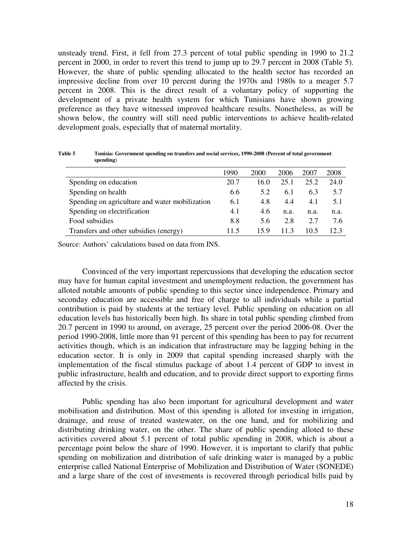unsteady trend. First, it fell from 27.3 percent of total public spending in 1990 to 21.2 percent in 2000, in order to revert this trend to jump up to 29.7 percent in 2008 (Table 5). However, the share of public spending allocated to the health sector has recorded an impressive decline from over 10 percent during the 1970s and 1980s to a meager 5.7 percent in 2008. This is the direct result of a voluntary policy of supporting the development of a private health system for which Tunisians have shown growing preference as they have witnessed improved healthcare results. Nonetheless, as will be shown below, the country will still need public interventions to achieve health-related development goals, especially that of maternal mortality.

|                                                | 1990 | 2000 | 2006 | 2007 | 2008 |
|------------------------------------------------|------|------|------|------|------|
| Spending on education                          | 20.7 | 16.0 | 25.1 | 25.2 | 24.0 |
| Spending on health                             | 6.6  | 5.2  | 6.1  | 6.3  | 5.7  |
| Spending on agriculture and water mobilization | 6.1  | 4.8  | 4.4  | 4.1  | 5.1  |
| Spending on electrification                    | 4.1  | 4.6  | n.a. | n.a. | n.a. |
| Food subsidies                                 | 8.8  | 5.6  | 2.8  | 27   | 7.6  |
| Transfers and other subsidies (energy)         | 11.5 | 159  | 113  | 105  | 12.3 |

**Table 5 Tunisia: Government spending on transfers and social services, 1990-2008 (Percent of total government spending)** 

Source: Authors' calculations based on data from INS.

Convinced of the very important repercussions that developing the education sector may have for human capital investment and unemployment reduction, the government has alloted notable amounts of public spending to this sector since independence. Primary and seconday education are accessible and free of charge to all individuals while a partial contribution is paid by students at the tertiary level. Public spending on education on all education levels has historically been high. Its share in total public spending climbed from 20.7 percent in 1990 to around, on average, 25 percent over the period 2006-08. Over the period 1990-2008, little more than 91 percent of this spending has been to pay for recurrent activities though, which is an indication that infrastructure may be lagging behing in the education sector. It is only in 2009 that capital spending increased sharply with the implementation of the fiscal stimulus package of about 1.4 percent of GDP to invest in public infrastructure, health and education, and to provide direct support to exporting firms affected by the crisis.

Public spending has also been important for agricultural development and water mobilisation and distribution. Most of this spending is alloted for investing in irrigation, drainage, and reuse of treated wastewater, on the one hand, and for mobilizing and distributing drinking water, on the other. The share of public spending alloted to these activities covered about 5.1 percent of total public spending in 2008, which is about a percentage point below the share of 1990. However, it is important to clarify that public spending on mobilization and distribution of safe drinking water is managed by a public enterprise called National Enterprise of Mobilization and Distribution of Water (SONEDE) and a large share of the cost of investments is recovered through periodical bills paid by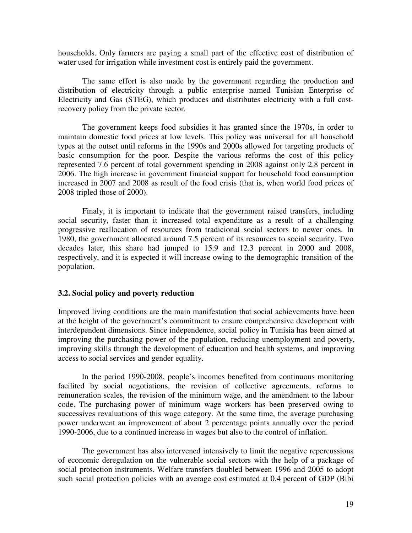households. Only farmers are paying a small part of the effective cost of distribution of water used for irrigation while investment cost is entirely paid the government.

The same effort is also made by the government regarding the production and distribution of electricity through a public enterprise named Tunisian Enterprise of Electricity and Gas (STEG), which produces and distributes electricity with a full costrecovery policy from the private sector.

The government keeps food subsidies it has granted since the 1970s, in order to maintain domestic food prices at low levels. This policy was universal for all household types at the outset until reforms in the 1990s and 2000s allowed for targeting products of basic consumption for the poor. Despite the various reforms the cost of this policy represented 7.6 percent of total government spending in 2008 against only 2.8 percent in 2006. The high increase in government financial support for household food consumption increased in 2007 and 2008 as result of the food crisis (that is, when world food prices of 2008 tripled those of 2000).

Finaly, it is important to indicate that the government raised transfers, including social security, faster than it increased total expenditure as a result of a challenging progressive reallocation of resources from tradicional social sectors to newer ones. In 1980, the government allocated around 7.5 percent of its resources to social security. Two decades later, this share had jumped to 15.9 and 12.3 percent in 2000 and 2008, respectively, and it is expected it will increase owing to the demographic transition of the population.

### **3.2. Social policy and poverty reduction**

Improved living conditions are the main manifestation that social achievements have been at the height of the government's commitment to ensure comprehensive development with interdependent dimensions. Since independence, social policy in Tunisia has been aimed at improving the purchasing power of the population, reducing unemployment and poverty, improving skills through the development of education and health systems, and improving access to social services and gender equality.

In the period 1990-2008, people's incomes benefited from continuous monitoring facilited by social negotiations, the revision of collective agreements, reforms to remuneration scales, the revision of the minimum wage, and the amendment to the labour code. The purchasing power of minimum wage workers has been preserved owing to successives revaluations of this wage category. At the same time, the average purchasing power underwent an improvement of about 2 percentage points annually over the period 1990-2006, due to a continued increase in wages but also to the control of inflation.

The government has also intervened intensively to limit the negative repercussions of economic deregulation on the vulnerable social sectors with the help of a package of social protection instruments. Welfare transfers doubled between 1996 and 2005 to adopt such social protection policies with an average cost estimated at 0.4 percent of GDP (Bibi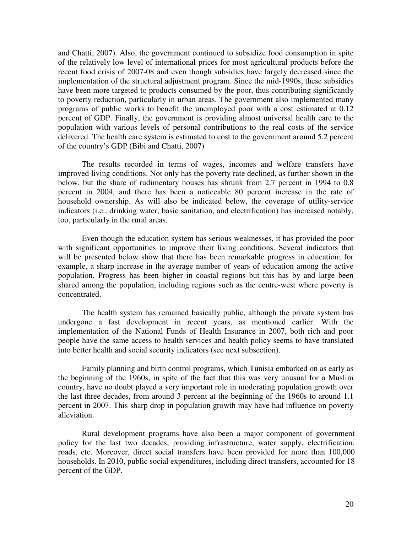and Chatti, 2007). Also, the government continued to subsidize food consumption in spite of the relatively low level of international prices for most agricultural products before the recent food crisis of 2007-08 and even though subsidies have largely decreased since the implementation of the structural adjustment program. Since the mid-1990s, these subsidies have been more targeted to products consumed by the poor, thus contributing significantly to poverty reduction, particularly in urban areas. The government also implemented many programs of public works to benefit the unemployed poor with a cost estimated at 0.12 percent of GDP. Finally, the government is providing almost universal health care to the population with various levels of personal contributions to the real costs of the service delivered. The health care system is estimated to cost to the government around 5.2 percent of the country's GDP (Bibi and Chatti, 2007)

The results recorded in terms of wages, incomes and welfare transfers have improved living conditions. Not only has the poverty rate declined, as further shown in the below, but the share of rudimentary houses has shrunk from 2.7 percent in 1994 to 0.8 percent in 2004, and there has been a noticeable 80 percent increase in the rate of household ownership. As will also be indicated below, the coverage of utility-service indicators (i.e., drinking water, basic sanitation, and electrification) has increased notably, too, particularly in the rural areas.

Even though the education system has serious weaknesses, it has provided the poor with significant opportunities to improve their living conditions. Several indicators that will be presented below show that there has been remarkable progress in education; for example, a sharp increase in the average number of years of education among the active population. Progress has been higher in coastal regions but this has by and large been shared among the population, including regions such as the centre-west where poverty is concentrated.

The health system has remained basically public, although the private system has undergone a fast development in recent years, as mentioned earlier. With the implementation of the National Funds of Health Insurance in 2007, both rich and poor people have the same access to health services and health policy seems to have translated into better health and social security indicators (see next subsection).

Family planning and birth control programs, which Tunisia embarked on as early as the beginning of the 1960s, in spite of the fact that this was very unusual for a Muslim country, have no doubt played a very important role in moderating population growth over the last three decades, from around 3 percent at the beginning of the 1960s to around 1.1 percent in 2007. This sharp drop in population growth may have had influence on poverty alleviation.

Rural development programs have also been a major component of government policy for the last two decades, providing infrastructure, water supply, electrification, roads, etc. Moreover, direct social transfers have been provided for more than 100,000 households. In 2010, public social expenditures, including direct transfers, accounted for 18 percent of the GDP.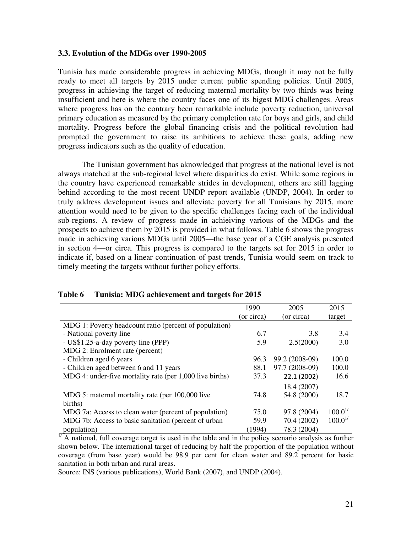## **3.3. Evolution of the MDGs over 1990-2005**

Tunisia has made considerable progress in achieving MDGs, though it may not be fully ready to meet all targets by 2015 under current public spending policies. Until 2005, progress in achieving the target of reducing maternal mortality by two thirds was being insufficient and here is where the country faces one of its bigest MDG challenges. Areas where progress has on the contrary been remarkable include poverty reduction, universal primary education as measured by the primary completion rate for boys and girls, and child mortality. Progress before the global financing crisis and the political revolution had prompted the government to raise its ambitions to achieve these goals, adding new progress indicators such as the quality of education.

The Tunisian government has aknowledged that progress at the national level is not always matched at the sub-regional level where disparities do exist. While some regions in the country have experienced remarkable strides in development, others are still lagging behind according to the most recent UNDP report available (UNDP, 2004). In order to truly address development issues and alleviate poverty for all Tunisians by 2015, more attention would need to be given to the specific challenges facing each of the individual sub-regions. A review of progress made in achieiving various of the MDGs and the prospects to achieve them by 2015 is provided in what follows. Table 6 shows the progress made in achieving various MDGs until 2005—the base year of a CGE analysis presented in section 4—or circa. This progress is compared to the targets set for 2015 in order to indicate if, based on a linear continuation of past trends, Tunisia would seem on track to timely meeting the targets without further policy efforts.

|                                                          | 1990       | 2005           | 2015         |
|----------------------------------------------------------|------------|----------------|--------------|
|                                                          | (or circa) | (or circa)     | target       |
| MDG 1: Poverty headcount ratio (percent of population)   |            |                |              |
| - National poverty line                                  | 6.7        | 3.8            | 3.4          |
| - US\$1.25-a-day poverty line (PPP)                      | 5.9        | 2.5(2000)      | 3.0          |
| MDG 2: Enrolment rate (percent)                          |            |                |              |
| - Children aged 6 years                                  | 96.3       | 99.2 (2008-09) | 100.0        |
| - Children aged between 6 and 11 years                   | 88.1       | 97.7 (2008-09) | 100.0        |
| MDG 4: under-five mortality rate (per 1,000 live births) | 37.3       | 22.1 (2002)    | 16.6         |
|                                                          |            | 18.4 (2007)    |              |
| MDG 5: maternal mortality rate (per 100,000 live         | 74.8       | 54.8 (2000)    | 18.7         |
| births)                                                  |            |                |              |
| MDG 7a: Access to clean water (percent of population)    | 75.0       | 97.8 (2004)    | $100.0^{1/}$ |
| MDG 7b: Access to basic sanitation (percent of urban     | 59.9       | 70.4 (2002)    | $100.0^{1/}$ |
| population)                                              | (1994)     | 78.3 (2004)    |              |

#### **Table 6 Tunisia: MDG achievement and targets for 2015**

 $\frac{1}{4}$  A national, full coverage target is used in the table and in the policy scenario analysis as further shown below. The international target of reducing by half the proportion of the population without coverage (from base year) would be 98.9 per cent for clean water and 89.2 percent for basic sanitation in both urban and rural areas.

Source: INS (various publications), World Bank (2007), and UNDP (2004).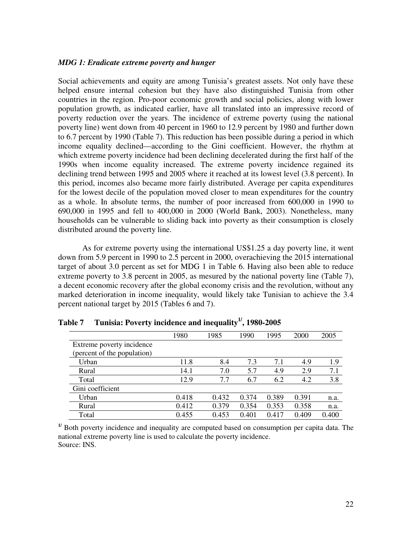## *MDG 1: Eradicate extreme poverty and hunger*

Social achievements and equity are among Tunisia's greatest assets. Not only have these helped ensure internal cohesion but they have also distinguished Tunisia from other countries in the region. Pro-poor economic growth and social policies, along with lower population growth, as indicated earlier, have all translated into an impressive record of poverty reduction over the years. The incidence of extreme poverty (using the national poverty line) went down from 40 percent in 1960 to 12.9 percent by 1980 and further down to 6.7 percent by 1990 (Table 7). This reduction has been possible during a period in which income equality declined—according to the Gini coefficient. However, the rhythm at which extreme poverty incidence had been declining decelerated during the first half of the 1990s when income equality increased. The extreme poverty incidence regained its declining trend between 1995 and 2005 where it reached at its lowest level (3.8 percent). In this period, incomes also became more fairly distributed. Average per capita expenditures for the lowest decile of the population moved closer to mean expenditures for the country as a whole. In absolute terms, the number of poor increased from 600,000 in 1990 to 690,000 in 1995 and fell to 400,000 in 2000 (World Bank, 2003). Nonetheless, many households can be vulnerable to sliding back into poverty as their consumption is closely distributed around the poverty line.

As for extreme poverty using the international US\$1.25 a day poverty line, it went down from 5.9 percent in 1990 to 2.5 percent in 2000, overachieving the 2015 international target of about 3.0 percent as set for MDG 1 in Table 6. Having also been able to reduce extreme poverty to 3.8 percent in 2005, as mesured by the national poverty line (Table 7), a decent economic recovery after the global economy crisis and the revolution, without any marked deterioration in income inequality, would likely take Tunisian to achieve the 3.4 percent national target by 2015 (Tables 6 and 7).

|                             | 1980  | 1985  | 1990  | 1995  | 2000  | 2005  |
|-----------------------------|-------|-------|-------|-------|-------|-------|
| Extreme poverty incidence   |       |       |       |       |       |       |
| (percent of the population) |       |       |       |       |       |       |
| Urban                       | 11.8  | 8.4   | 7.3   | 7.1   | 4.9   | 1.9   |
| Rural                       | 14.1  | 7.0   | 5.7   | 4.9   | 2.9   | 7.1   |
| Total                       | 12.9  | 7.7   | 6.7   | 6.2   | 4.2   | 3.8   |
| Gini coefficient            |       |       |       |       |       |       |
| Urban                       | 0.418 | 0.432 | 0.374 | 0.389 | 0.391 | n.a.  |
| Rural                       | 0.412 | 0.379 | 0.354 | 0.353 | 0.358 | n.a.  |
| Total                       | 0.455 | 0.453 | 0.401 | 0.417 | 0.409 | 0.400 |

**Table 7 Tunisia: Poverty incidence and inequality1/, 1980-2005** 

<sup>1/</sup> Both poverty incidence and inequality are computed based on consumption per capita data. The national extreme poverty line is used to calculate the poverty incidence. Source: INS.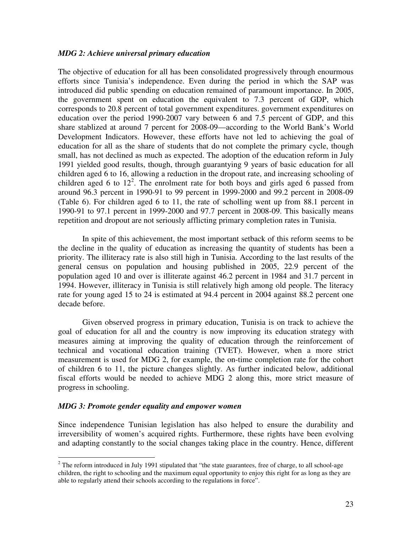#### *MDG 2: Achieve universal primary education*

The objective of education for all has been consolidated progressively through enourmous efforts since Tunisia's independence. Even during the period in which the SAP was introduced did public spending on education remained of paramount importance. In 2005, the government spent on education the equivalent to 7.3 percent of GDP, which corresponds to 20.8 percent of total government expenditures. government expenditures on education over the period 1990-2007 vary between 6 and 7.5 percent of GDP, and this share stablized at around 7 percent for 2008-09—according to the World Bank's World Development Indicators. However, these efforts have not led to achieving the goal of education for all as the share of students that do not complete the primary cycle, though small, has not declined as much as expected. The adoption of the education reform in July 1991 yielded good results, though, through guarantying 9 years of basic education for all children aged 6 to 16, allowing a reduction in the dropout rate, and increasing schooling of children aged 6 to  $12^2$ . The enrolment rate for both boys and girls aged 6 passed from around 96.3 percent in 1990-91 to 99 percent in 1999-2000 and 99.2 percent in 2008-09 (Table 6). For children aged 6 to 11, the rate of scholling went up from 88.1 percent in 1990-91 to 97.1 percent in 1999-2000 and 97.7 percent in 2008-09. This basically means repetition and dropout are not seriously afflicting primary completion rates in Tunisia.

In spite of this achievement, the most important setback of this reform seems to be the decline in the quality of education as increasing the quantity of students has been a priority. The illiteracy rate is also still high in Tunisia. According to the last results of the general census on population and housing published in 2005, 22.9 percent of the population aged 10 and over is illiterate against 46.2 percent in 1984 and 31.7 percent in 1994. However, illiteracy in Tunisia is still relatively high among old people. The literacy rate for young aged 15 to 24 is estimated at 94.4 percent in 2004 against 88.2 percent one decade before.

Given observed progress in primary education, Tunisia is on track to achieve the goal of education for all and the country is now improving its education strategy with measures aiming at improving the quality of education through the reinforcement of technical and vocational education training (TVET). However, when a more strict measurement is used for MDG 2, for example, the on-time completion rate for the cohort of children 6 to 11, the picture changes slightly. As further indicated below, additional fiscal efforts would be needed to achieve MDG 2 along this, more strict measure of progress in schooling.

#### *MDG 3: Promote gender equality and empower women*

Since independence Tunisian legislation has also helped to ensure the durability and irreversibility of women's acquired rights. Furthermore, these rights have been evolving and adapting constantly to the social changes taking place in the country. Hence, different

<sup>&</sup>lt;sup>2</sup> The reform introduced in July 1991 stipulated that "the state guarantees, free of charge, to all school-age children, the right to schooling and the maximum equal opportunity to enjoy this right for as long as they are able to regularly attend their schools according to the regulations in force".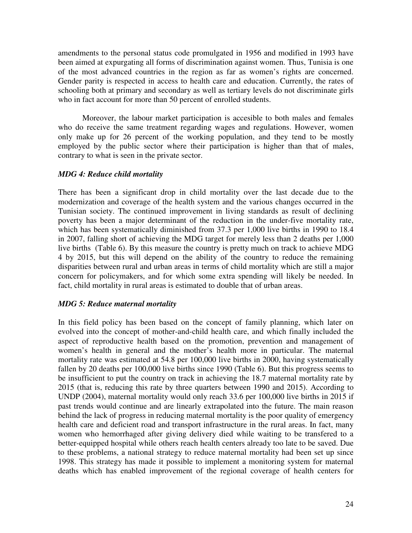amendments to the personal status code promulgated in 1956 and modified in 1993 have been aimed at expurgating all forms of discrimination against women. Thus, Tunisia is one of the most advanced countries in the region as far as women's rights are concerned. Gender parity is respected in access to health care and education. Currently, the rates of schooling both at primary and secondary as well as tertiary levels do not discriminate girls who in fact account for more than 50 percent of enrolled students.

Moreover, the labour market participation is accesible to both males and females who do receive the same treatment regarding wages and regulations. However, women only make up for 26 percent of the working population, and they tend to be mostly employed by the public sector where their participation is higher than that of males, contrary to what is seen in the private sector.

## *MDG 4: Reduce child mortality*

There has been a significant drop in child mortality over the last decade due to the modernization and coverage of the health system and the various changes occurred in the Tunisian society. The continued improvement in living standards as result of declining poverty has been a major determinant of the reduction in the under-five mortality rate, which has been systematically diminished from 37.3 per 1,000 live births in 1990 to 18.4 in 2007, falling short of achieving the MDG target for merely less than 2 deaths per 1,000 live births (Table 6). By this measure the country is pretty much on track to achieve MDG 4 by 2015, but this will depend on the ability of the country to reduce the remaining disparities between rural and urban areas in terms of child mortality which are still a major concern for policymakers, and for which some extra spending will likely be needed. In fact, child mortality in rural areas is estimated to double that of urban areas.

## *MDG 5: Reduce maternal mortality*

In this field policy has been based on the concept of family planning, which later on evolved into the concept of mother-and-child health care, and which finally included the aspect of reproductive health based on the promotion, prevention and management of women's health in general and the mother's health more in particular. The maternal mortality rate was estimated at 54.8 per 100,000 live births in 2000, having systematically fallen by 20 deaths per 100,000 live births since 1990 (Table 6). But this progress seems to be insufficient to put the country on track in achieving the 18.7 maternal mortality rate by 2015 (that is, reducing this rate by three quarters between 1990 and 2015). According to UNDP (2004), maternal mortality would only reach 33.6 per 100,000 live births in 2015 if past trends would continue and are linearly extrapolated into the future. The main reason behind the lack of progress in reducing maternal mortality is the poor quality of emergency health care and deficient road and transport infrastructure in the rural areas. In fact, many women who hemorrhaged after giving delivery died while waiting to be transfered to a better-equipped hospital while others reach health centers already too late to be saved. Due to these problems, a national strategy to reduce maternal mortality had been set up since 1998. This strategy has made it possible to implement a monitoring system for maternal deaths which has enabled improvement of the regional coverage of health centers for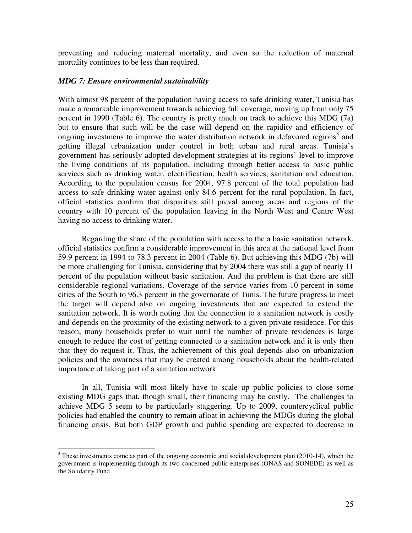preventing and reducing maternal mortality, and even so the reduction of maternal mortality continues to be less than required.

## *MDG 7: Ensure environmental sustainability*

 $\overline{a}$ 

With almost 98 percent of the population having access to safe drinking water, Tunisia has made a remarkable improvement towards achieving full coverage, moving up from only 75 percent in 1990 (Table 6). The country is pretty much on track to achieve this MDG (7a) but to ensure that such will be the case will depend on the rapidity and efficiency of ongoing investmens to improve the water distribution network in defavored regions<sup>3</sup> and getting illegal urbanization under control in both urban and rural areas. Tunisia's government has seriously adopted development strategies at its regions' level to improve the living conditions of its population, including through better access to basic public services such as drinking water, electrification, health services, sanitation and education. According to the population census for 2004, 97.8 percent of the total population had access to safe drinking water against only 84.6 percent for the rural population. In fact, official statistics confirm that disparities still preval among areas and regions of the country with 10 percent of the population leaving in the North West and Centre West having no access to drinking water.

Regarding the share of the population with access to the a basic sanitation network, official statistics confirm a considerable improvement in this area at the national level from 59.9 percent in 1994 to 78.3 percent in 2004 (Table 6). But achieving this MDG (7b) will be more challenging for Tunisia, considering that by 2004 there was still a gap of nearly 11 percent of the population without basic sanitation. And the problem is that there are still considerable regional variations. Coverage of the service varies from 10 percent in some cities of the South to 96.3 percent in the governorate of Tunis. The future progress to meet the target will depend also on ongoing investments that are expected to extend the sanitation network. It is worth noting that the connection to a sanitation network is costly and depends on the proximity of the existing network to a given private residence. For this reason, many households prefer to wait until the number of private residences is large enough to reduce the cost of getting connected to a sanitation network and it is only then that they do request it. Thus, the achievement of this goal depends also on urbanization policies and the awarness that may be created among households about the health-related importance of taking part of a sanitation network.

In all, Tunisia will most likely have to scale up public policies to close some existing MDG gaps that, though small, their financing may be costly. The challenges to achieve MDG 5 seem to be particularly staggering. Up to 2009, countercyclical public policies had enabled the country to remain afloat in achieving the MDGs during the global financing crisis. But both GDP growth and public spending are expected to decrease in

 $3$  These investments come as part of the ongoing economic and social development plan (2010-14), which the government is implementing through its two concerned public enterprises (ONAS and SONEDE) as well as the Solidarity Fund.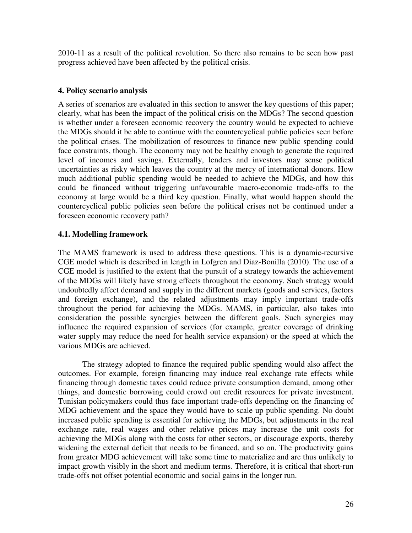2010-11 as a result of the political revolution. So there also remains to be seen how past progress achieved have been affected by the political crisis.

## **4. Policy scenario analysis**

A series of scenarios are evaluated in this section to answer the key questions of this paper; clearly, what has been the impact of the political crisis on the MDGs? The second question is whether under a foreseen economic recovery the country would be expected to achieve the MDGs should it be able to continue with the countercyclical public policies seen before the political crises. The mobilization of resources to finance new public spending could face constraints, though. The economy may not be healthy enough to generate the required level of incomes and savings. Externally, lenders and investors may sense political uncertainties as risky which leaves the country at the mercy of international donors. How much additional public spending would be needed to achieve the MDGs, and how this could be financed without triggering unfavourable macro-economic trade-offs to the economy at large would be a third key question. Finally, what would happen should the countercyclical public policies seen before the political crises not be continued under a foreseen economic recovery path?

## **4.1. Modelling framework**

The MAMS framework is used to address these questions. This is a dynamic-recursive CGE model which is described in length in Lofgren and Diaz-Bonilla (2010). The use of a CGE model is justified to the extent that the pursuit of a strategy towards the achievement of the MDGs will likely have strong effects throughout the economy. Such strategy would undoubtedly affect demand and supply in the different markets (goods and services, factors and foreign exchange), and the related adjustments may imply important trade-offs throughout the period for achieving the MDGs. MAMS, in particular, also takes into consideration the possible synergies between the different goals. Such synergies may influence the required expansion of services (for example, greater coverage of drinking water supply may reduce the need for health service expansion) or the speed at which the various MDGs are achieved.

The strategy adopted to finance the required public spending would also affect the outcomes. For example, foreign financing may induce real exchange rate effects while financing through domestic taxes could reduce private consumption demand, among other things, and domestic borrowing could crowd out credit resources for private investment. Tunisian policymakers could thus face important trade-offs depending on the financing of MDG achievement and the space they would have to scale up public spending. No doubt increased public spending is essential for achieving the MDGs, but adjustments in the real exchange rate, real wages and other relative prices may increase the unit costs for achieving the MDGs along with the costs for other sectors, or discourage exports, thereby widening the external deficit that needs to be financed, and so on. The productivity gains from greater MDG achievement will take some time to materialize and are thus unlikely to impact growth visibly in the short and medium terms. Therefore, it is critical that short-run trade-offs not offset potential economic and social gains in the longer run.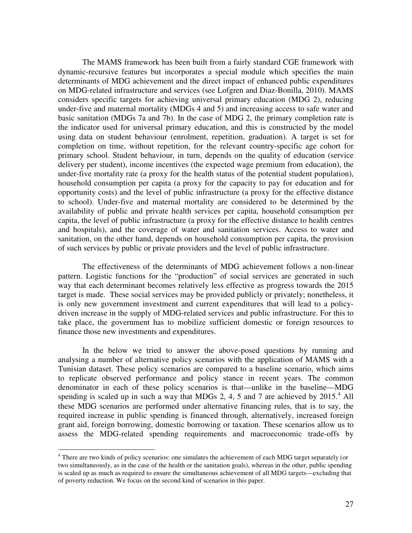The MAMS framework has been built from a fairly standard CGE framework with dynamic-recursive features but incorporates a special module which specifies the main determinants of MDG achievement and the direct impact of enhanced public expenditures on MDG-related infrastructure and services (see Lofgren and Diaz-Bonilla, 2010). MAMS considers specific targets for achieving universal primary education (MDG 2), reducing under-five and maternal mortality (MDGs 4 and 5) and increasing access to safe water and basic sanitation (MDGs 7a and 7b). In the case of MDG 2, the primary completion rate is the indicator used for universal primary education, and this is constructed by the model using data on student behaviour (enrolment, repetition, graduation). A target is set for completion on time, without repetition, for the relevant country-specific age cohort for primary school. Student behaviour, in turn, depends on the quality of education (service delivery per student), income incentives (the expected wage premium from education), the under-five mortality rate (a proxy for the health status of the potential student population), household consumption per capita (a proxy for the capacity to pay for education and for opportunity costs) and the level of public infrastructure (a proxy for the effective distance to school). Under-five and maternal mortality are considered to be determined by the availability of public and private health services per capita, household consumption per capita, the level of public infrastructure (a proxy for the effective distance to health centres and hospitals), and the coverage of water and sanitation services. Access to water and sanitation, on the other hand, depends on household consumption per capita, the provision of such services by public or private providers and the level of public infrastructure.

The effectiveness of the determinants of MDG achievement follows a non-linear pattern. Logistic functions for the "production" of social services are generated in such way that each determinant becomes relatively less effective as progress towards the 2015 target is made. These social services may be provided publicly or privately; nonetheless, it is only new government investment and current expenditures that will lead to a policydriven increase in the supply of MDG-related services and public infrastructure. For this to take place, the government has to mobilize sufficient domestic or foreign resources to finance those new investments and expenditures.

In the below we tried to answer the above-posed questions by running and analysing a number of alternative policy scenarios with the application of MAMS with a Tunisian dataset. These policy scenarios are compared to a baseline scenario, which aims to replicate observed performance and policy stance in recent years. The common denominator in each of these policy scenarios is that—unlike in the baseline—MDG spending is scaled up in such a way that MDGs 2, 4, 5 and 7 are achieved by  $2015.<sup>4</sup>$  All these MDG scenarios are performed under alternative financing rules, that is to say, the required increase in public spending is financed through, alternatively, increased foreign grant aid, foreign borrowing, domestic borrowing or taxation. These scenarios allow us to assess the MDG-related spending requirements and macroeconomic trade-offs by

 $\overline{a}$ 

<sup>&</sup>lt;sup>4</sup> There are two kinds of policy scenarios: one simulates the achievement of each MDG target separately (or two simultaneously, as in the case of the health or the sanitation goals), whereas in the other, public spending is scaled up as much as required to ensure the simultaneous achievement of all MDG targets—excluding that of poverty reduction. We focus on the second kind of scenarios in this paper.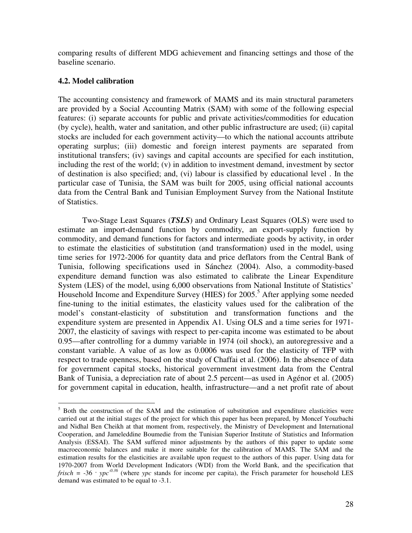comparing results of different MDG achievement and financing settings and those of the baseline scenario.

## **4.2. Model calibration**

 $\overline{a}$ 

The accounting consistency and framework of MAMS and its main structural parameters are provided by a Social Accounting Matrix (SAM) with some of the following especial features: (i) separate accounts for public and private activities/commodities for education (by cycle), health, water and sanitation, and other public infrastructure are used; (ii) capital stocks are included for each government activity—to which the national accounts attribute operating surplus; (iii) domestic and foreign interest payments are separated from institutional transfers; (iv) savings and capital accounts are specified for each institution, including the rest of the world; (v) in addition to investment demand, investment by sector of destination is also specified; and, (vi) labour is classified by educational level . In the particular case of Tunisia, the SAM was built for 2005, using official national accounts data from the Central Bank and Tunisian Employment Survey from the National Institute of Statistics.

Two-Stage Least Squares (*TSLS*) and Ordinary Least Squares (OLS) were used to estimate an import-demand function by commodity, an export-supply function by commodity, and demand functions for factors and intermediate goods by activity, in order to estimate the elasticities of substitution (and transformation) used in the model, using time series for 1972-2006 for quantity data and price deflators from the Central Bank of Tunisia, following specifications used in Sánchez (2004). Also, a commodity-based expenditure demand function was also estimated to calibrate the Linear Expenditure System (LES) of the model, using 6,000 observations from National Institute of Statistics' Household Income and Expenditure Survey (HIES) for 2005.<sup>5</sup> After applying some needed fine-tuning to the initial estimates, the elasticity values used for the calibration of the model's constant-elasticity of substitution and transformation functions and the expenditure system are presented in Appendix A1. Using OLS and a time series for 1971- 2007, the elasticity of savings with respect to per-capita income was estimated to be about 0.95—after controlling for a dummy variable in 1974 (oil shock), an autoregressive and a constant variable. A value of as low as 0.0006 was used for the elasticity of TFP with respect to trade openness, based on the study of Chaffai et al. (2006). In the absence of data for government capital stocks, historical government investment data from the Central Bank of Tunisia, a depreciation rate of about 2.5 percent—as used in Agénor et al. (2005) for government capital in education, health, infrastructure—and a net profit rate of about

<sup>&</sup>lt;sup>5</sup> Both the construction of the SAM and the estimation of substitution and expenditure elasticities were carried out at the initial stages of the project for which this paper has been prepared, by Moncef Youzbachi and Nidhal Ben Cheikh at that moment from, respectively, the Ministry of Development and International Cooperation, and Jameleddine Boumedie from the Tunisian Superior Institute of Statistics and Information Analysis (ESSAI). The SAM suffered minor adjustments by the authors of this paper to update some macroeconomic balances and make it more suitable for the calibration of MAMS. The SAM and the estimation results for the elasticities are available upon request to the authors of this paper. Using data for 1970-2007 from World Development Indicators (WDI) from the World Bank, and the specification that *frisch* = -36 ·  $ypc$ <sup>-0.36</sup> (where *ypc* stands for income per capita), the Frisch parameter for household LES demand was estimated to be equal to -3.1.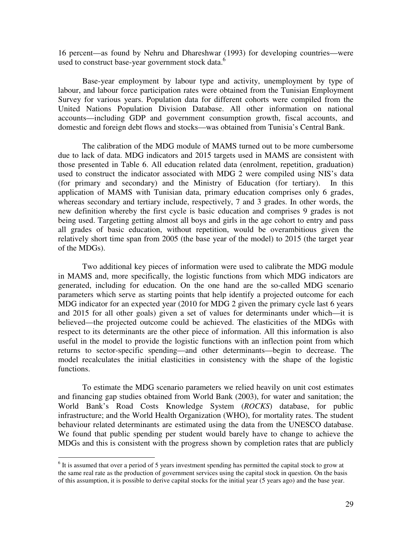16 percent—as found by Nehru and Dhareshwar (1993) for developing countries—were used to construct base-year government stock data.<sup>6</sup>

Base-year employment by labour type and activity, unemployment by type of labour, and labour force participation rates were obtained from the Tunisian Employment Survey for various years. Population data for different cohorts were compiled from the United Nations Population Division Database. All other information on national accounts—including GDP and government consumption growth, fiscal accounts, and domestic and foreign debt flows and stocks—was obtained from Tunisia's Central Bank.

The calibration of the MDG module of MAMS turned out to be more cumbersome due to lack of data. MDG indicators and 2015 targets used in MAMS are consistent with those presented in Table 6. All education related data (enrolment, repetition, graduation) used to construct the indicator associated with MDG 2 were compiled using NIS's data (for primary and secondary) and the Ministry of Education (for tertiary). In this application of MAMS with Tunisian data, primary education comprises only 6 grades, whereas secondary and tertiary include, respectively, 7 and 3 grades. In other words, the new definition whereby the first cycle is basic education and comprises 9 grades is not being used. Targeting getting almost all boys and girls in the age cohort to entry and pass all grades of basic education, without repetition, would be overambitious given the relatively short time span from 2005 (the base year of the model) to 2015 (the target year of the MDGs).

Two additional key pieces of information were used to calibrate the MDG module in MAMS and, more specifically, the logistic functions from which MDG indicators are generated, including for education. On the one hand are the so-called MDG scenario parameters which serve as starting points that help identify a projected outcome for each MDG indicator for an expected year (2010 for MDG 2 given the primary cycle last 6 years and 2015 for all other goals) given a set of values for determinants under which—it is believed—the projected outcome could be achieved. The elasticities of the MDGs with respect to its determinants are the other piece of information. All this information is also useful in the model to provide the logistic functions with an inflection point from which returns to sector-specific spending—and other determinants—begin to decrease. The model recalculates the initial elasticities in consistency with the shape of the logistic functions.

To estimate the MDG scenario parameters we relied heavily on unit cost estimates and financing gap studies obtained from World Bank (2003), for water and sanitation; the World Bank's Road Costs Knowledge System (*ROCKS*) database, for public infrastructure; and the World Health Organization (WHO), for mortality rates. The student behaviour related determinants are estimated using the data from the UNESCO database. We found that public spending per student would barely have to change to achieve the MDGs and this is consistent with the progress shown by completion rates that are publicly

 $\overline{a}$ 

<sup>&</sup>lt;sup>6</sup> It is assumed that over a period of 5 years investment spending has permitted the capital stock to grow at the same real rate as the production of government services using the capital stock in question. On the basis of this assumption, it is possible to derive capital stocks for the initial year (5 years ago) and the base year.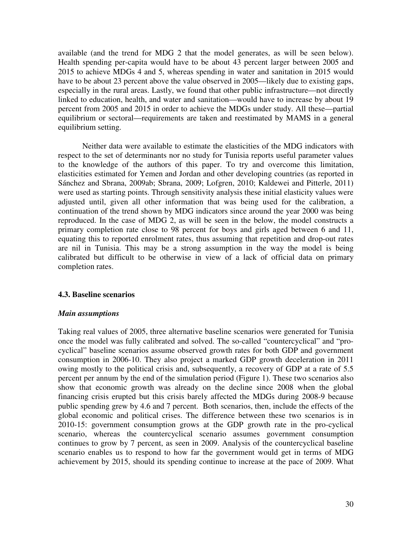available (and the trend for MDG 2 that the model generates, as will be seen below). Health spending per-capita would have to be about 43 percent larger between 2005 and 2015 to achieve MDGs 4 and 5, whereas spending in water and sanitation in 2015 would have to be about 23 percent above the value observed in 2005—likely due to existing gaps, especially in the rural areas. Lastly, we found that other public infrastructure—not directly linked to education, health, and water and sanitation—would have to increase by about 19 percent from 2005 and 2015 in order to achieve the MDGs under study. All these—partial equilibrium or sectoral—requirements are taken and reestimated by MAMS in a general equilibrium setting.

Neither data were available to estimate the elasticities of the MDG indicators with respect to the set of determinants nor no study for Tunisia reports useful parameter values to the knowledge of the authors of this paper. To try and overcome this limitation, elasticities estimated for Yemen and Jordan and other developing countries (as reported in Sánchez and Sbrana, 2009ab; Sbrana, 2009; Lofgren, 2010; Kaldewei and Pitterle, 2011) were used as starting points. Through sensitivity analysis these initial elasticity values were adjusted until, given all other information that was being used for the calibration, a continuation of the trend shown by MDG indicators since around the year 2000 was being reproduced. In the case of MDG 2, as will be seen in the below, the model constructs a primary completion rate close to 98 percent for boys and girls aged between 6 and 11, equating this to reported enrolment rates, thus assuming that repetition and drop-out rates are nil in Tunisia. This may be a strong assumption in the way the model is being calibrated but difficult to be otherwise in view of a lack of official data on primary completion rates.

## **4.3. Baseline scenarios**

## *Main assumptions*

Taking real values of 2005, three alternative baseline scenarios were generated for Tunisia once the model was fully calibrated and solved. The so-called "countercyclical" and "procyclical" baseline scenarios assume observed growth rates for both GDP and government consumption in 2006-10. They also project a marked GDP growth deceleration in 2011 owing mostly to the political crisis and, subsequently, a recovery of GDP at a rate of 5.5 percent per annum by the end of the simulation period (Figure 1). These two scenarios also show that economic growth was already on the decline since 2008 when the global financing crisis erupted but this crisis barely affected the MDGs during 2008-9 because public spending grew by 4.6 and 7 percent. Both scenarios, then, include the effects of the global economic and political crises. The difference between these two scenarios is in 2010-15: government consumption grows at the GDP growth rate in the pro-cyclical scenario, whereas the countercyclical scenario assumes government consumption continues to grow by 7 percent, as seen in 2009. Analysis of the countercyclical baseline scenario enables us to respond to how far the government would get in terms of MDG achievement by 2015, should its spending continue to increase at the pace of 2009. What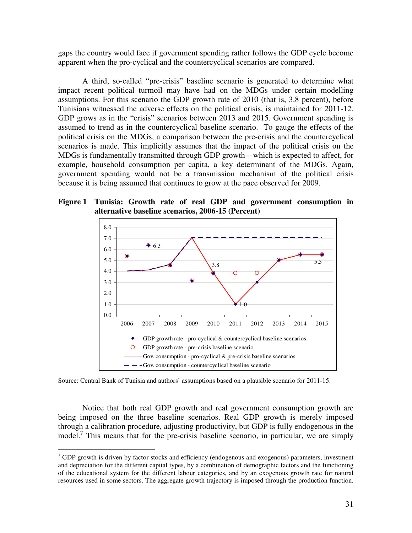gaps the country would face if government spending rather follows the GDP cycle become apparent when the pro-cyclical and the countercyclical scenarios are compared.

A third, so-called "pre-crisis" baseline scenario is generated to determine what impact recent political turmoil may have had on the MDGs under certain modelling assumptions. For this scenario the GDP growth rate of 2010 (that is, 3.8 percent), before Tunisians witnessed the adverse effects on the political crisis, is maintained for 2011-12. GDP grows as in the "crisis" scenarios between 2013 and 2015. Government spending is assumed to trend as in the countercyclical baseline scenario. To gauge the effects of the political crisis on the MDGs, a comparison between the pre-crisis and the countercyclical scenarios is made. This implicitly assumes that the impact of the political crisis on the MDGs is fundamentally transmitted through GDP growth—which is expected to affect, for example, household consumption per capita, a key determinant of the MDGs. Again, government spending would not be a transmission mechanism of the political crisis because it is being assumed that continues to grow at the pace observed for 2009.

**Figure 1 Tunisia: Growth rate of real GDP and government consumption in alternative baseline scenarios, 2006-15 (Percent)** 



Source: Central Bank of Tunisia and authors' assumptions based on a plausible scenario for 2011-15.

 $\overline{a}$ 

Notice that both real GDP growth and real government consumption growth are being imposed on the three baseline scenarios. Real GDP growth is merely imposed through a calibration procedure, adjusting productivity, but GDP is fully endogenous in the model.<sup>7</sup> This means that for the pre-crisis baseline scenario, in particular, we are simply

 $7$  GDP growth is driven by factor stocks and efficiency (endogenous and exogenous) parameters, investment and depreciation for the different capital types, by a combination of demographic factors and the functioning of the educational system for the different labour categories, and by an exogenous growth rate for natural resources used in some sectors. The aggregate growth trajectory is imposed through the production function.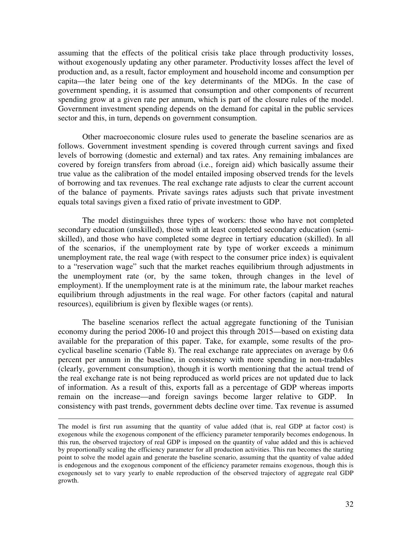assuming that the effects of the political crisis take place through productivity losses, without exogenously updating any other parameter. Productivity losses affect the level of production and, as a result, factor employment and household income and consumption per capita—the later being one of the key determinants of the MDGs. In the case of government spending, it is assumed that consumption and other components of recurrent spending grow at a given rate per annum, which is part of the closure rules of the model. Government investment spending depends on the demand for capital in the public services sector and this, in turn, depends on government consumption.

Other macroeconomic closure rules used to generate the baseline scenarios are as follows. Government investment spending is covered through current savings and fixed levels of borrowing (domestic and external) and tax rates. Any remaining imbalances are covered by foreign transfers from abroad (i.e., foreign aid) which basically assume their true value as the calibration of the model entailed imposing observed trends for the levels of borrowing and tax revenues. The real exchange rate adjusts to clear the current account of the balance of payments. Private savings rates adjusts such that private investment equals total savings given a fixed ratio of private investment to GDP.

The model distinguishes three types of workers: those who have not completed secondary education (unskilled), those with at least completed secondary education (semiskilled), and those who have completed some degree in tertiary education (skilled). In all of the scenarios, if the unemployment rate by type of worker exceeds a minimum unemployment rate, the real wage (with respect to the consumer price index) is equivalent to a "reservation wage" such that the market reaches equilibrium through adjustments in the unemployment rate (or, by the same token, through changes in the level of employment). If the unemployment rate is at the minimum rate, the labour market reaches equilibrium through adjustments in the real wage. For other factors (capital and natural resources), equilibrium is given by flexible wages (or rents).

The baseline scenarios reflect the actual aggregate functioning of the Tunisian economy during the period 2006-10 and project this through 2015—based on existing data available for the preparation of this paper. Take, for example, some results of the procyclical baseline scenario (Table 8). The real exchange rate appreciates on average by 0.6 percent per annum in the baseline, in consistency with more spending in non-tradables (clearly, government consumption), though it is worth mentioning that the actual trend of the real exchange rate is not being reproduced as world prices are not updated due to lack of information. As a result of this, exports fall as a percentage of GDP whereas imports remain on the increase—and foreign savings become larger relative to GDP. In consistency with past trends, government debts decline over time. Tax revenue is assumed

 $\overline{a}$ 

The model is first run assuming that the quantity of value added (that is, real GDP at factor cost) is exogenous while the exogenous component of the efficiency parameter temporarily becomes endogenous. In this run, the observed trajectory of real GDP is imposed on the quantity of value added and this is achieved by proportionally scaling the efficiency parameter for all production activities. This run becomes the starting point to solve the model again and generate the baseline scenario, assuming that the quantity of value added is endogenous and the exogenous component of the efficiency parameter remains exogenous, though this is exogenously set to vary yearly to enable reproduction of the observed trajectory of aggregate real GDP growth.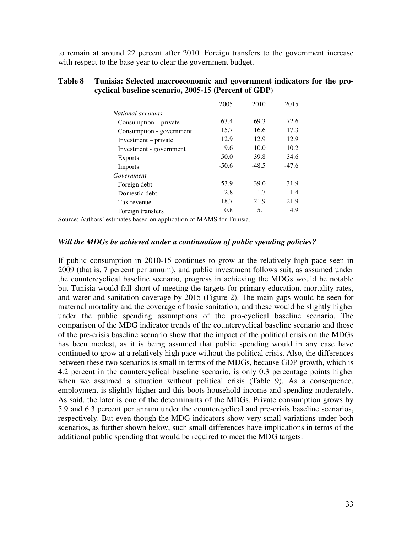to remain at around 22 percent after 2010. Foreign transfers to the government increase with respect to the base year to clear the government budget.

|                          | 2005    | 2010    | 2015    |
|--------------------------|---------|---------|---------|
| National accounts        |         |         |         |
| Consumption – private    | 63.4    | 69.3    | 72.6    |
| Consumption - government | 15.7    | 16.6    | 17.3    |
| Investment – private     | 12.9    | 12.9    | 12.9    |
| Investment - government  | 9.6     | 10.0    | 10.2    |
| <b>Exports</b>           | 50.0    | 39.8    | 34.6    |
| Imports                  | $-50.6$ | $-48.5$ | $-47.6$ |
| Government               |         |         |         |
| Foreign debt             | 53.9    | 39.0    | 31.9    |
| Domestic debt            | 2.8     | 1.7     | 1.4     |
| Tax revenue              | 18.7    | 21.9    | 21.9    |
| Foreign transfers        | 0.8     | 5.1     | 4.9     |

## **Table 8 Tunisia: Selected macroeconomic and government indicators for the procyclical baseline scenario, 2005-15 (Percent of GDP)**

Source: Authors' estimates based on application of MAMS for Tunisia.

## *Will the MDGs be achieved under a continuation of public spending policies?*

If public consumption in 2010-15 continues to grow at the relatively high pace seen in 2009 (that is, 7 percent per annum), and public investment follows suit, as assumed under the countercyclical baseline scenario, progress in achieving the MDGs would be notable but Tunisia would fall short of meeting the targets for primary education, mortality rates, and water and sanitation coverage by 2015 (Figure 2). The main gaps would be seen for maternal mortality and the coverage of basic sanitation, and these would be slightly higher under the public spending assumptions of the pro-cyclical baseline scenario. The comparison of the MDG indicator trends of the countercyclical baseline scenario and those of the pre-crisis baseline scenario show that the impact of the political crisis on the MDGs has been modest, as it is being assumed that public spending would in any case have continued to grow at a relatively high pace without the political crisis. Also, the differences between these two scenarios is small in terms of the MDGs, because GDP growth, which is 4.2 percent in the countercyclical baseline scenario, is only 0.3 percentage points higher when we assumed a situation without political crisis (Table 9). As a consequence, employment is slightly higher and this boots household income and spending moderately. As said, the later is one of the determinants of the MDGs. Private consumption grows by 5.9 and 6.3 percent per annum under the countercyclical and pre-crisis baseline scenarios, respectively. But even though the MDG indicators show very small variations under both scenarios, as further shown below, such small differences have implications in terms of the additional public spending that would be required to meet the MDG targets.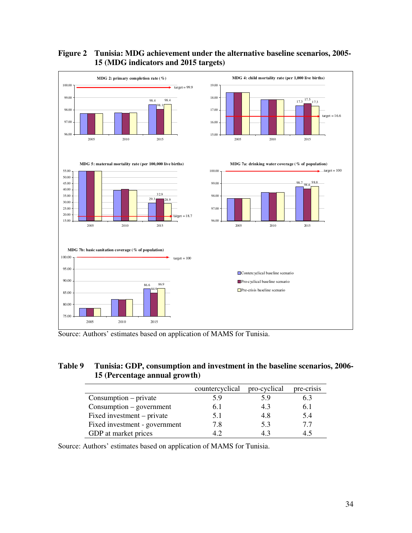

## **Figure 2 Tunisia: MDG achievement under the alternative baseline scenarios, 2005- 15 (MDG indicators and 2015 targets)**

Source: Authors' estimates based on application of MAMS for Tunisia.

2005 2010 2015

75.00

## **Table 9 Tunisia: GDP, consumption and investment in the baseline scenarios, 2006- 15 (Percentage annual growth)**

|                               | countercyclical | pro-cyclical | pre-crisis |
|-------------------------------|-----------------|--------------|------------|
| $Consumption - private$       | 5.9             | 5.9          | 6.3        |
| $Consumption - government$    | 6.1             | 4.3          | 6.1        |
| Fixed investment – private    | 5.1             | 4.8          | 5.4        |
| Fixed investment - government | 7.8             | 5.3          | 77         |
| GDP at market prices          |                 | 43           |            |

Source: Authors' estimates based on application of MAMS for Tunisia.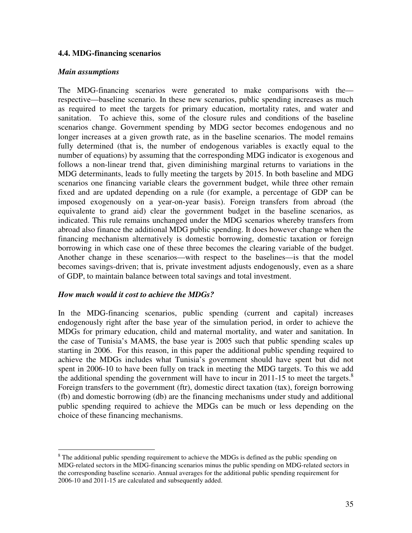## **4.4. MDG-financing scenarios**

## *Main assumptions*

 $\overline{a}$ 

The MDG-financing scenarios were generated to make comparisons with the respective—baseline scenario. In these new scenarios, public spending increases as much as required to meet the targets for primary education, mortality rates, and water and sanitation. To achieve this, some of the closure rules and conditions of the baseline scenarios change. Government spending by MDG sector becomes endogenous and no longer increases at a given growth rate, as in the baseline scenarios. The model remains fully determined (that is, the number of endogenous variables is exactly equal to the number of equations) by assuming that the corresponding MDG indicator is exogenous and follows a non-linear trend that, given diminishing marginal returns to variations in the MDG determinants, leads to fully meeting the targets by 2015. In both baseline and MDG scenarios one financing variable clears the government budget, while three other remain fixed and are updated depending on a rule (for example, a percentage of GDP can be imposed exogenously on a year-on-year basis). Foreign transfers from abroad (the equivalente to grand aid) clear the government budget in the baseline scenarios, as indicated. This rule remains unchanged under the MDG scenarios whereby transfers from abroad also finance the additional MDG public spending. It does however change when the financing mechanism alternatively is domestic borrowing, domestic taxation or foreign borrowing in which case one of these three becomes the clearing variable of the budget. Another change in these scenarios—with respect to the baselines—is that the model becomes savings-driven; that is, private investment adjusts endogenously, even as a share of GDP, to maintain balance between total savings and total investment.

## *How much would it cost to achieve the MDGs?*

In the MDG-financing scenarios, public spending (current and capital) increases endogenously right after the base year of the simulation period, in order to achieve the MDGs for primary education, child and maternal mortality, and water and sanitation. In the case of Tunisia's MAMS, the base year is 2005 such that public spending scales up starting in 2006. For this reason, in this paper the additional public spending required to achieve the MDGs includes what Tunisia's government should have spent but did not spent in 2006-10 to have been fully on track in meeting the MDG targets. To this we add the additional spending the government will have to incur in 2011-15 to meet the targets.<sup>8</sup> Foreign transfers to the government (ftr), domestic direct taxation (tax), foreign borrowing (fb) and domestic borrowing (db) are the financing mechanisms under study and additional public spending required to achieve the MDGs can be much or less depending on the choice of these financing mechanisms.

<sup>&</sup>lt;sup>8</sup> The additional public spending requirement to achieve the MDGs is defined as the public spending on MDG-related sectors in the MDG-financing scenarios minus the public spending on MDG-related sectors in the corresponding baseline scenario. Annual averages for the additional public spending requirement for 2006-10 and 2011-15 are calculated and subsequently added.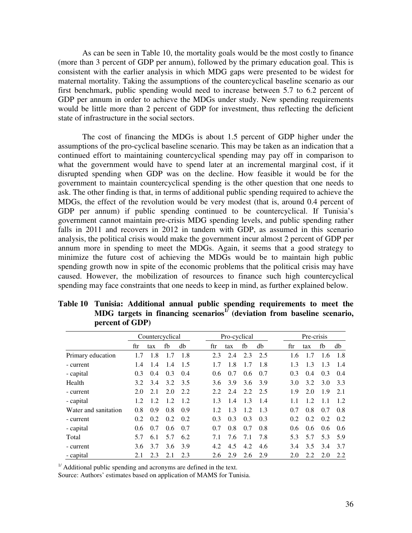As can be seen in Table 10, the mortality goals would be the most costly to finance (more than 3 percent of GDP per annum), followed by the primary education goal. This is consistent with the earlier analysis in which MDG gaps were presented to be widest for maternal mortality. Taking the assumptions of the countercyclical baseline scenario as our first benchmark, public spending would need to increase between 5.7 to 6.2 percent of GDP per annum in order to achieve the MDGs under study. New spending requirements would be little more than 2 percent of GDP for investment, thus reflecting the deficient state of infrastructure in the social sectors.

 The cost of financing the MDGs is about 1.5 percent of GDP higher under the assumptions of the pro-cyclical baseline scenario. This may be taken as an indication that a continued effort to maintaining countercyclical spending may pay off in comparison to what the government would have to spend later at an incremental marginal cost, if it disrupted spending when GDP was on the decline. How feasible it would be for the government to maintain countercyclical spending is the other question that one needs to ask. The other finding is that, in terms of additional public spending required to achieve the MDGs, the effect of the revolution would be very modest (that is, around 0.4 percent of GDP per annum) if public spending continued to be countercyclical. If Tunisia's government cannot maintain pre-crisis MDG spending levels, and public spending rather falls in 2011 and recovers in 2012 in tandem with GDP, as assumed in this scenario analysis, the political crisis would make the government incur almost 2 percent of GDP per annum more in spending to meet the MDGs. Again, it seems that a good strategy to minimize the future cost of achieving the MDGs would be to maintain high public spending growth now in spite of the economic problems that the political crisis may have caused. However, the mobilization of resources to finance such high countercyclical spending may face constraints that one needs to keep in mind, as further explained below.

|                      |               | Countercyclical |     |     |               | Pro-cyclical |               |     |               | Pre-crisis    |     |     |
|----------------------|---------------|-----------------|-----|-----|---------------|--------------|---------------|-----|---------------|---------------|-----|-----|
|                      | ftr           | tax             | fb  | db  | ftr           | tax          | fb            | db  | ftr           | tax           | fb  | db  |
| Primary education    | 1.7           | 1.8             | 1.7 | 1.8 | 2.3           | 2.4          | 2.3           | 2.5 | 1.6           | 1.7           | 1.6 | 1.8 |
| - current            | 1.4           | 1.4             | 1.4 | 1.5 | 1.7           | 1.8          | 1.7           | 1.8 | 1.3           | 1.3           | 1.3 | 1.4 |
| - capital            | 0.3           | 0.4             | 0.3 | 0.4 | $0.6^{\circ}$ | 0.7          | $0.6^{\circ}$ | 0.7 | 0.3           | 0.4           | 0.3 | 0.4 |
| Health               | 3.2           | 3.4             | 3.2 | 3.5 | 3.6           | 3.9          | 3.6           | 3.9 | 3.0           | 3.2           | 3.0 | 3.3 |
| - current            | 2.0           | 2.1             | 2.0 | 2.2 | 2.2           | 2.4          | 2.2           | 2.5 | 1.9           | 2.0           | 1.9 | 2.1 |
| - capital            | 1.2           | 1.2             | 1.2 | 1.2 | 1.3           | 1.4          | 1.3           | 1.4 | 1.1           | 1.2.          | 1.1 | 1.2 |
| Water and sanitation | 0.8           | 0.9             | 0.8 | 0.9 | 1.2           | 1.3          | 1.2           | 1.3 | 0.7           | 0.8           | 0.7 | 0.8 |
| - current            | $0.2^{\circ}$ | 0.2             | 0.2 | 0.2 | 0.3           | 0.3          | 0.3           | 0.3 | $0.2^{\circ}$ | $0.2^{\circ}$ | 0.2 | 0.2 |
| - capital            | 0.6           | 0.7             | 0.6 | 0.7 | 0.7           | 0.8          | 0.7           | 0.8 | $0.6^{\circ}$ | 0.6           | 0.6 | 0.6 |
| Total                | 5.7           | 6.1             | 5.7 | 6.2 | 7.1           | 7.6          | 7.1           | 7.8 | 5.3           | 5.7           | 5.3 | 5.9 |
| - current            | 3.6           | 3.7             | 3.6 | 3.9 | 4.2           | 4.5          | 4.2           | 4.6 | 3.4           | 3.5           | 3.4 | 3.7 |
| - capital            | 2.1           | 2.3             | 2.1 | 2.3 | 2.6           | 2.9          | 2.6           | 2.9 | 2.0           | 2.2           | 2.0 | 2.2 |

**Table 10 Tunisia: Additional annual public spending requirements to meet the MDG targets in financing scenarios1/ (deviation from baseline scenario, percent of GDP)** 

 $1/$  Additional public spending and acronyms are defined in the text.

Source: Authors' estimates based on application of MAMS for Tunisia.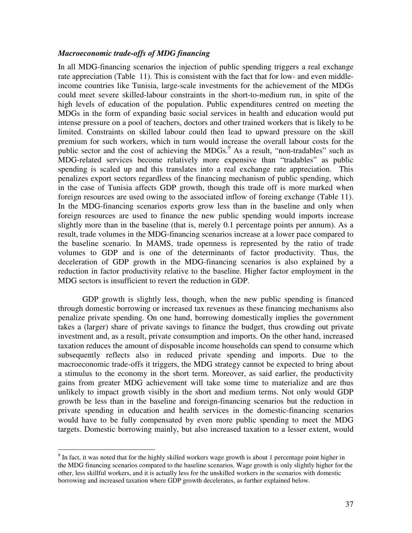## *Macroeconomic trade-offs of MDG financing*

In all MDG-financing scenarios the injection of public spending triggers a real exchange rate appreciation (Table 11). This is consistent with the fact that for low- and even middleincome countries like Tunisia, large-scale investments for the achievement of the MDGs could meet severe skilled-labour constraints in the short-to-medium run, in spite of the high levels of education of the population. Public expenditures centred on meeting the MDGs in the form of expanding basic social services in health and education would put intense pressure on a pool of teachers, doctors and other trained workers that is likely to be limited. Constraints on skilled labour could then lead to upward pressure on the skill premium for such workers, which in turn would increase the overall labour costs for the public sector and the cost of achieving the  $MDGs$ .<sup>9</sup> As a result, "non-tradables" such as MDG-related services become relatively more expensive than "tradables" as public spending is scaled up and this translates into a real exchange rate appreciation. This penalizes export sectors regardless of the financing mechanism of public spending, which in the case of Tunisia affects GDP growth, though this trade off is more marked when foreign resources are used owing to the associated inflow of foreing exchange (Table 11). In the MDG-financing scenarios exports grow less than in the baseline and only when foreign resources are used to finance the new public spending would imports increase slightly more than in the baseline (that is, merely 0.1 percentage points per annum). As a result, trade volumes in the MDG-financing scenarios increase at a lower pace compared to the baseline scenario. In MAMS, trade openness is represented by the ratio of trade volumes to GDP and is one of the determinants of factor productivity. Thus, the deceleration of GDP growth in the MDG-financing scenarios is also explained by a reduction in factor productivity relative to the baseline. Higher factor employment in the MDG sectors is insufficient to revert the reduction in GDP.

GDP growth is slightly less, though, when the new public spending is financed through domestic borrowing or increased tax revenues as these financing mechanisms also penalize private spending. On one hand, borrowing domestically implies the government takes a (larger) share of private savings to finance the budget, thus crowding out private investment and, as a result, private consumption and imports. On the other hand, increased taxation reduces the amount of disposable income households can spend to consume which subsequently reflects also in reduced private spending and imports. Due to the macroeconomic trade-offs it triggers, the MDG strategy cannot be expected to bring about a stimulus to the economy in the short term. Moreover, as said earlier, the productivity gains from greater MDG achievement will take some time to materialize and are thus unlikely to impact growth visibly in the short and medium terms. Not only would GDP growth be less than in the baseline and foreign-financing scenarios but the reduction in private spending in education and health services in the domestic-financing scenarios would have to be fully compensated by even more public spending to meet the MDG targets. Domestic borrowing mainly, but also increased taxation to a lesser extent, would

 $\overline{a}$ 

<sup>&</sup>lt;sup>9</sup> In fact, it was noted that for the highly skilled workers wage growth is about 1 percentage point higher in the MDG financing scenarios compared to the baseline scenarios. Wage growth is only slightly higher for the other, less skillful workers, and it is actually less for the unskilled workers in the scenarios with domestic borrowing and increased taxation where GDP growth decelerates, as further explained below.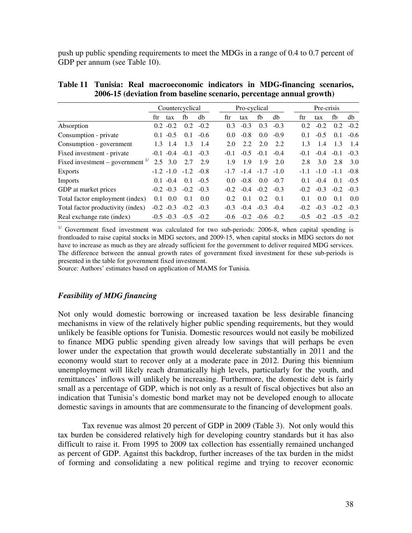push up public spending requirements to meet the MDGs in a range of 0.4 to 0.7 percent of GDP per annum (see Table 10).

|                                             |     |              | Countercyclical |             |         | Pro-cyclical |                             |        |  | Pre-crisis    |        |             |             |
|---------------------------------------------|-----|--------------|-----------------|-------------|---------|--------------|-----------------------------|--------|--|---------------|--------|-------------|-------------|
|                                             | ftr | tax          | fb              | db          | ftr     | tax          | fb                          | db     |  | ftr           | tax    | fb          | db          |
| Absorption                                  |     | $0.2 -0.2$   | 0.2             | $-0.2$      | 0.3     | $-0.3$       | 0.3                         | $-0.3$ |  | $0.2^{\circ}$ | $-0.2$ | 0.2         | $-0.2$      |
| Consumption - private                       |     | $0.1 - 0.5$  | 0.1             | $-0.6$      | 0.0     | $-0.8$       | 0.0 <sub>1</sub>            | $-0.9$ |  | 0.1           | $-0.5$ | 0.1         | $-0.6$      |
| Consumption - government                    | 1.3 | 1.4          | 1.3             | 1.4         | 2.0     | 2.2          | 2.0                         | 2.2    |  | 1.3           | 1.4    | 1.3         | -1.4        |
| Fixed investment - private                  |     | $-0.1 - 0.4$ | $-0.1$          | $-0.3$      | $-0.1$  | $-0.5$       | $-0.1$                      | $-0.4$ |  | $-0.1$        | $-0.4$ | $-0.1$      | $-0.3$      |
| Fixed investment – government $\frac{1}{1}$ | 2.5 | 3.0          | 2.7             | 2.9         | 1.9     | 1.9          | 1.9                         | 2.0    |  | 2.8           | 3.0    | 2.8         | 3.0         |
| <b>Exports</b>                              |     | $-1.2 -1.0$  |                 | $-1.2 -0.8$ |         |              | $-1.7$ $-1.4$ $-1.7$ $-1.0$ |        |  |               |        | $-1.0 -1.1$ | $-0.8$      |
| Imports                                     |     | $0.1 - 0.4$  |                 | $0.1 - 0.5$ | $0.0^-$ | $-0.8$       | 0.0                         | $-0.7$ |  | 0.1           | $-0.4$ | 0.1         | $-0.5$      |
| GDP at market prices                        |     | $-0.2 -0.3$  | $-0.2 -0.3$     |             | $-0.2$  | $-0.4$       | $-0.2 -0.3$                 |        |  | $-0.2$        | $-0.3$ |             | $-0.2 -0.3$ |
| Total factor employment (index)             | 0.1 | 0.0          | 0.1             | 0.0         | 0.2     | 0.1          | 0.2                         | 0.1    |  | 0.1           | 0.0    | 0.1         | 0.0         |
| Total factor productivity (index)           |     | $-0.2 -0.3$  | $-0.2$          | $-0.3$      | $-0.3$  | $-0.4$       | $-0.3$                      | $-0.4$ |  | $-0.2$        | $-0.3$ | $-0.2$      | $-0.3$      |
| Real exchange rate (index)                  |     | $-0.5 -0.3$  | $-0.5$          | $-0.2$      | -0.6    | $-0.2$       | $-0.6$                      | $-0.2$ |  | $-0.5$        | $-0.2$ | $-0.5$      | $-0.2$      |

**Table 11 Tunisia: Real macroeconomic indicators in MDG-financing scenarios, 2006-15 (deviation from baseline scenario, percentage annual growth)** 

 $1/$  Government fixed investment was calculated for two sub-periods: 2006-8, when capital spending is frontloaded to raise capital stocks in MDG sectors, and 2009-15, when capital stocks in MDG sectors do not have to increase as much as they are already sufficient for the government to deliver required MDG services. The difference between the annual growth rates of government fixed investment for these sub-periods is presented in the table for government fixed investment.

Source: Authors' estimates based on application of MAMS for Tunisia.

## *Feasibility of MDG financing*

Not only would domestic borrowing or increased taxation be less desirable financing mechanisms in view of the relatively higher public spending requirements, but they would unlikely be feasible options for Tunisia. Domestic resources would not easily be mobilized to finance MDG public spending given already low savings that will perhaps be even lower under the expectation that growth would decelerate substantially in 2011 and the economy would start to recover only at a moderate pace in 2012. During this biennium unemployment will likely reach dramatically high levels, particularly for the youth, and remittances' inflows will unlikely be increasing. Furthermore, the domestic debt is fairly small as a percentage of GDP, which is not only as a result of fiscal objectives but also an indication that Tunisia's domestic bond market may not be developed enough to allocate domestic savings in amounts that are commensurate to the financing of development goals.

Tax revenue was almost 20 percent of GDP in 2009 (Table 3). Not only would this tax burden be considered relatively high for developing country standards but it has also difficult to raise it. From 1995 to 2009 tax collection has essentially remained unchanged as percent of GDP. Against this backdrop, further increases of the tax burden in the midst of forming and consolidating a new political regime and trying to recover economic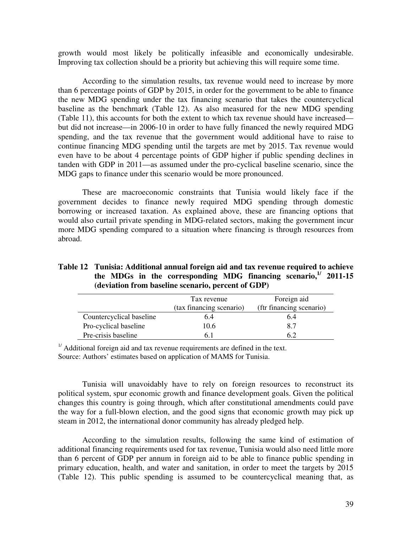growth would most likely be politically infeasible and economically undesirable. Improving tax collection should be a priority but achieving this will require some time.

According to the simulation results, tax revenue would need to increase by more than 6 percentage points of GDP by 2015, in order for the government to be able to finance the new MDG spending under the tax financing scenario that takes the countercyclical baseline as the benchmark (Table 12). As also measured for the new MDG spending (Table 11), this accounts for both the extent to which tax revenue should have increased but did not increase—in 2006-10 in order to have fully financed the newly required MDG spending, and the tax revenue that the government would additional have to raise to continue financing MDG spending until the targets are met by 2015. Tax revenue would even have to be about 4 percentage points of GDP higher if public spending declines in tanden with GDP in 2011—as assumed under the pro-cyclical baseline scenario, since the MDG gaps to finance under this scenario would be more pronounced.

These are macroeconomic constraints that Tunisia would likely face if the government decides to finance newly required MDG spending through domestic borrowing or increased taxation. As explained above, these are financing options that would also curtail private spending in MDG-related sectors, making the government incur more MDG spending compared to a situation where financing is through resources from abroad.

|                          | Tax revenue              | Foreign aid              |
|--------------------------|--------------------------|--------------------------|
|                          | (tax financing scenario) | (ftr financing scenario) |
| Countercyclical baseline | 6.4                      | 6.4                      |
| Pro-cyclical baseline    | 10.6                     | 8.7                      |
| Pre-crisis baseline      | 61                       | 62                       |

**Table 12 Tunisia: Additional annual foreign aid and tax revenue required to achieve the MDGs in the corresponding MDG financing scenario,1/ 2011-15 (deviation from baseline scenario, percent of GDP)** 

 $1/$  Additional foreign aid and tax revenue requirements are defined in the text. Source: Authors' estimates based on application of MAMS for Tunisia.

 Tunisia will unavoidably have to rely on foreign resources to reconstruct its political system, spur economic growth and finance development goals. Given the political changes this country is going through, which after constitutional amendments could pave the way for a full-blown election, and the good signs that economic growth may pick up steam in 2012, the international donor community has already pledged help.

According to the simulation results, following the same kind of estimation of additional financing requirements used for tax revenue, Tunisia would also need little more than 6 percent of GDP per annum in foreign aid to be able to finance public spending in primary education, health, and water and sanitation, in order to meet the targets by 2015 (Table 12). This public spending is assumed to be countercyclical meaning that, as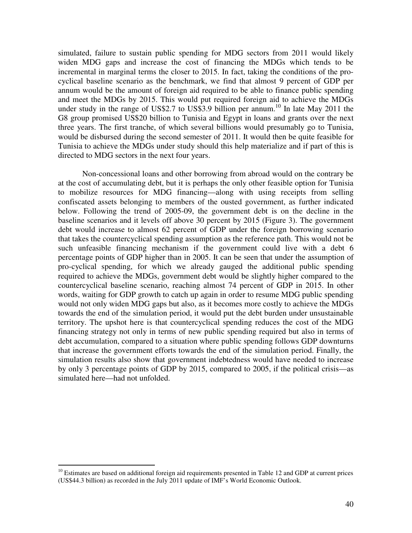simulated, failure to sustain public spending for MDG sectors from 2011 would likely widen MDG gaps and increase the cost of financing the MDGs which tends to be incremental in marginal terms the closer to 2015. In fact, taking the conditions of the procyclical baseline scenario as the benchmark, we find that almost 9 percent of GDP per annum would be the amount of foreign aid required to be able to finance public spending and meet the MDGs by 2015. This would put required foreign aid to achieve the MDGs under study in the range of US\$2.7 to US\$3.9 billion per annum.<sup>10</sup> In late May 2011 the G8 group promised US\$20 billion to Tunisia and Egypt in loans and grants over the next three years. The first tranche, of which several billions would presumably go to Tunisia, would be disbursed during the second semester of 2011. It would then be quite feasible for Tunisia to achieve the MDGs under study should this help materialize and if part of this is directed to MDG sectors in the next four years.

 Non-concessional loans and other borrowing from abroad would on the contrary be at the cost of accumulating debt, but it is perhaps the only other feasible option for Tunisia to mobilize resources for MDG financing—along with using receipts from selling confiscated assets belonging to members of the ousted government, as further indicated below. Following the trend of 2005-09, the government debt is on the decline in the baseline scenarios and it levels off above 30 percent by 2015 (Figure 3). The government debt would increase to almost 62 percent of GDP under the foreign borrowing scenario that takes the countercyclical spending assumption as the reference path. This would not be such unfeasible financing mechanism if the government could live with a debt 6 percentage points of GDP higher than in 2005. It can be seen that under the assumption of pro-cyclical spending, for which we already gauged the additional public spending required to achieve the MDGs, government debt would be slightly higher compared to the countercyclical baseline scenario, reaching almost 74 percent of GDP in 2015. In other words, waiting for GDP growth to catch up again in order to resume MDG public spending would not only widen MDG gaps but also, as it becomes more costly to achieve the MDGs towards the end of the simulation period, it would put the debt burden under unsustainable territory. The upshot here is that countercyclical spending reduces the cost of the MDG financing strategy not only in terms of new public spending required but also in terms of debt accumulation, compared to a situation where public spending follows GDP downturns that increase the government efforts towards the end of the simulation period. Finally, the simulation results also show that government indebtedness would have needed to increase by only 3 percentage points of GDP by 2015, compared to 2005, if the political crisis—as simulated here—had not unfolded.

 $\overline{a}$ 

 $10$  Estimates are based on additional foreign aid requirements presented in Table 12 and GDP at current prices (US\$44.3 billion) as recorded in the July 2011 update of IMF's World Economic Outlook.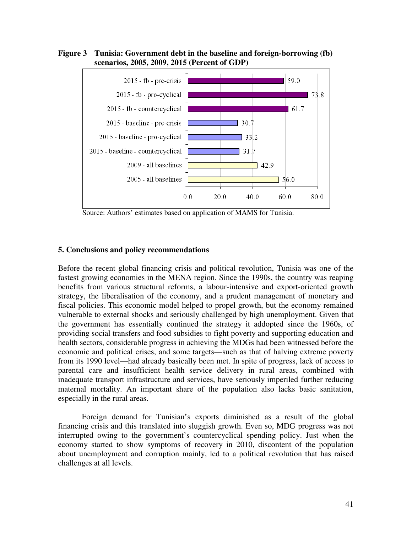**Figure 3 Tunisia: Government debt in the baseline and foreign-borrowing (fb) scenarios, 2005, 2009, 2015 (Percent of GDP)** 



Source: Authors' estimates based on application of MAMS for Tunisia.

## **5. Conclusions and policy recommendations**

Before the recent global financing crisis and political revolution, Tunisia was one of the fastest growing economies in the MENA region. Since the 1990s, the country was reaping benefits from various structural reforms, a labour-intensive and export-oriented growth strategy, the liberalisation of the economy, and a prudent management of monetary and fiscal policies. This economic model helped to propel growth, but the economy remained vulnerable to external shocks and seriously challenged by high unemployment. Given that the government has essentially continued the strategy it addopted since the 1960s, of providing social transfers and food subsidies to fight poverty and supporting education and health sectors, considerable progress in achieving the MDGs had been witnessed before the economic and political crises, and some targets—such as that of halving extreme poverty from its 1990 level—had already basically been met. In spite of progress, lack of access to parental care and insufficient health service delivery in rural areas, combined with inadequate transport infrastructure and services, have seriously imperiled further reducing maternal mortality. An important share of the population also lacks basic sanitation, especially in the rural areas.

Foreign demand for Tunisian's exports diminished as a result of the global financing crisis and this translated into sluggish growth. Even so, MDG progress was not interrupted owing to the government's countercyclical spending policy. Just when the economy started to show symptoms of recovery in 2010, discontent of the population about unemployment and corruption mainly, led to a political revolution that has raised challenges at all levels.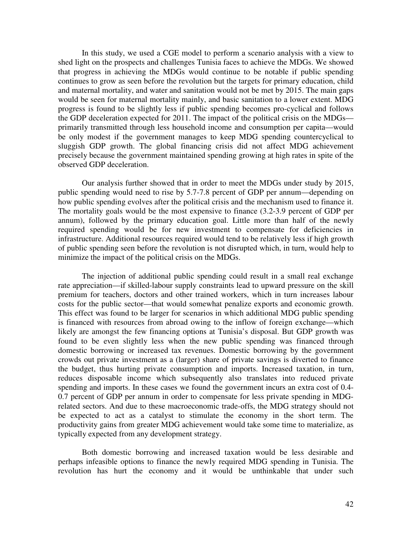In this study, we used a CGE model to perform a scenario analysis with a view to shed light on the prospects and challenges Tunisia faces to achieve the MDGs. We showed that progress in achieving the MDGs would continue to be notable if public spending continues to grow as seen before the revolution but the targets for primary education, child and maternal mortality, and water and sanitation would not be met by 2015. The main gaps would be seen for maternal mortality mainly, and basic sanitation to a lower extent. MDG progress is found to be slightly less if public spending becomes pro-cyclical and follows the GDP deceleration expected for 2011. The impact of the political crisis on the MDGs primarily transmitted through less household income and consumption per capita—would be only modest if the government manages to keep MDG spending countercyclical to sluggish GDP growth. The global financing crisis did not affect MDG achievement precisely because the government maintained spending growing at high rates in spite of the observed GDP deceleration.

Our analysis further showed that in order to meet the MDGs under study by 2015, public spending would need to rise by 5.7-7.8 percent of GDP per annum—depending on how public spending evolves after the political crisis and the mechanism used to finance it. The mortality goals would be the most expensive to finance (3.2-3.9 percent of GDP per annum), followed by the primary education goal. Little more than half of the newly required spending would be for new investment to compensate for deficiencies in infrastructure. Additional resources required would tend to be relatively less if high growth of public spending seen before the revolution is not disrupted which, in turn, would help to minimize the impact of the political crisis on the MDGs.

The injection of additional public spending could result in a small real exchange rate appreciation—if skilled-labour supply constraints lead to upward pressure on the skill premium for teachers, doctors and other trained workers, which in turn increases labour costs for the public sector—that would somewhat penalize exports and economic growth. This effect was found to be larger for scenarios in which additional MDG public spending is financed with resources from abroad owing to the inflow of foreign exchange—which likely are amongst the few financing options at Tunisia's disposal. But GDP growth was found to be even slightly less when the new public spending was financed through domestic borrowing or increased tax revenues. Domestic borrowing by the government crowds out private investment as a (larger) share of private savings is diverted to finance the budget, thus hurting private consumption and imports. Increased taxation, in turn, reduces disposable income which subsequently also translates into reduced private spending and imports. In these cases we found the government incurs an extra cost of 0.4- 0.7 percent of GDP per annum in order to compensate for less private spending in MDGrelated sectors. And due to these macroeconomic trade-offs, the MDG strategy should not be expected to act as a catalyst to stimulate the economy in the short term. The productivity gains from greater MDG achievement would take some time to materialize, as typically expected from any development strategy.

Both domestic borrowing and increased taxation would be less desirable and perhaps infeasible options to finance the newly required MDG spending in Tunisia. The revolution has hurt the economy and it would be unthinkable that under such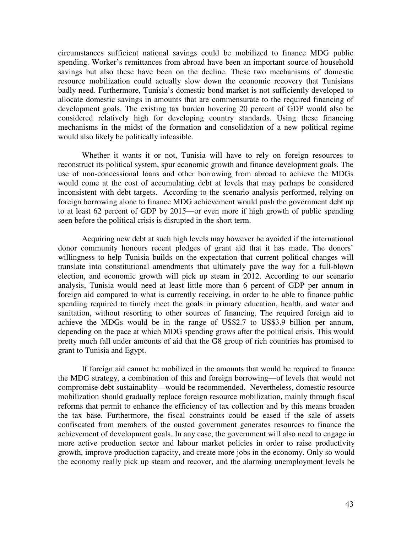circumstances sufficient national savings could be mobilized to finance MDG public spending. Worker's remittances from abroad have been an important source of household savings but also these have been on the decline. These two mechanisms of domestic resource mobilization could actually slow down the economic recovery that Tunisians badly need. Furthermore, Tunisia's domestic bond market is not sufficiently developed to allocate domestic savings in amounts that are commensurate to the required financing of development goals. The existing tax burden hovering 20 percent of GDP would also be considered relatively high for developing country standards. Using these financing mechanisms in the midst of the formation and consolidation of a new political regime would also likely be politically infeasible.

Whether it wants it or not, Tunisia will have to rely on foreign resources to reconstruct its political system, spur economic growth and finance development goals. The use of non-concessional loans and other borrowing from abroad to achieve the MDGs would come at the cost of accumulating debt at levels that may perhaps be considered inconsistent with debt targets. According to the scenario analysis performed, relying on foreign borrowing alone to finance MDG achievement would push the government debt up to at least 62 percent of GDP by 2015—or even more if high growth of public spending seen before the political crisis is disrupted in the short term.

Acquiring new debt at such high levels may however be avoided if the international donor community honours recent pledges of grant aid that it has made. The donors' willingness to help Tunisia builds on the expectation that current political changes will translate into constitutional amendments that ultimately pave the way for a full-blown election, and economic growth will pick up steam in 2012. According to our scenario analysis, Tunisia would need at least little more than 6 percent of GDP per annum in foreign aid compared to what is currently receiving, in order to be able to finance public spending required to timely meet the goals in primary education, health, and water and sanitation, without resorting to other sources of financing. The required foreign aid to achieve the MDGs would be in the range of US\$2.7 to US\$3.9 billion per annum, depending on the pace at which MDG spending grows after the political crisis. This would pretty much fall under amounts of aid that the G8 group of rich countries has promised to grant to Tunisia and Egypt.

If foreign aid cannot be mobilized in the amounts that would be required to finance the MDG strategy, a combination of this and foreign borrowing—of levels that would not compromise debt sustainablity—would be recommended. Nevertheless, domestic resource mobilization should gradually replace foreign resource mobilization, mainly through fiscal reforms that permit to enhance the efficiency of tax collection and by this means broaden the tax base. Furthermore, the fiscal constraints could be eased if the sale of assets confiscated from members of the ousted government generates resources to finance the achievement of development goals. In any case, the government will also need to engage in more active production sector and labour market policies in order to raise productivity growth, improve production capacity, and create more jobs in the economy. Only so would the economy really pick up steam and recover, and the alarming unemployment levels be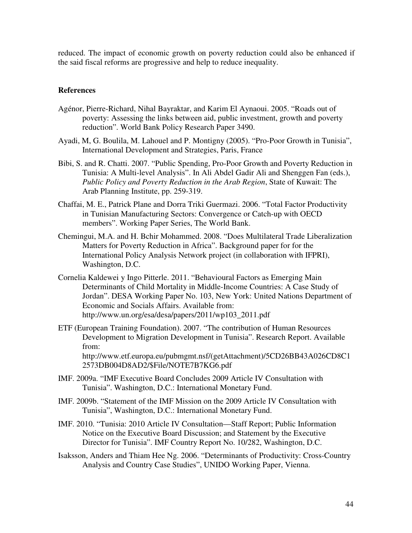reduced. The impact of economic growth on poverty reduction could also be enhanced if the said fiscal reforms are progressive and help to reduce inequality.

## **References**

- Agénor, Pierre-Richard, Nihal Bayraktar, and Karim El Aynaoui. 2005. "Roads out of poverty: Assessing the links between aid, public investment, growth and poverty reduction". World Bank Policy Research Paper 3490.
- Ayadi, M, G. Boulila, M. Lahouel and P. Montigny (2005). "Pro-Poor Growth in Tunisia", International Development and Strategies, Paris, France
- Bibi, S. and R. Chatti. 2007. "Public Spending, Pro-Poor Growth and Poverty Reduction in Tunisia: A Multi-level Analysis". In Ali Abdel Gadir Ali and Shenggen Fan (eds.), *Public Policy and Poverty Reduction in the Arab Region*, State of Kuwait: The Arab Planning Institute, pp. 259-319.
- Chaffai, M. E., Patrick Plane and Dorra Triki Guermazi. 2006. "Total Factor Productivity in Tunisian Manufacturing Sectors: Convergence or Catch-up with OECD members". Working Paper Series, The World Bank.
- Chemingui, M.A. and H. Bchir Mohammed. 2008. "Does Multilateral Trade Liberalization Matters for Poverty Reduction in Africa". Background paper for for the International Policy Analysis Network project (in collaboration with IFPRI), Washington, D.C.
- Cornelia Kaldewei y Ingo Pitterle. 2011. "Behavioural Factors as Emerging Main Determinants of Child Mortality in Middle-Income Countries: A Case Study of Jordan". DESA Working Paper No. 103, New York: United Nations Department of Economic and Socials Affairs. Available from: http://www.un.org/esa/desa/papers/2011/wp103\_2011.pdf
- ETF (European Training Foundation). 2007. "The contribution of Human Resources Development to Migration Development in Tunisia". Research Report. Available from: http://www.etf.europa.eu/pubmgmt.nsf/(getAttachment)/5CD26BB43A026CD8C1 2573DB004D8AD2/\$File/NOTE7B7KG6.pdf
- IMF. 2009a. "IMF Executive Board Concludes 2009 Article IV Consultation with Tunisia". Washington, D.C.: International Monetary Fund.
- IMF. 2009b. "Statement of the IMF Mission on the 2009 Article IV Consultation with Tunisia", Washington, D.C.: International Monetary Fund.
- IMF. 2010. "Tunisia: 2010 Article IV Consultation—Staff Report; Public Information Notice on the Executive Board Discussion; and Statement by the Executive Director for Tunisia". IMF Country Report No. 10/282, Washington, D.C.
- Isaksson, Anders and Thiam Hee Ng. 2006. "Determinants of Productivity: Cross-Country Analysis and Country Case Studies", UNIDO Working Paper, Vienna.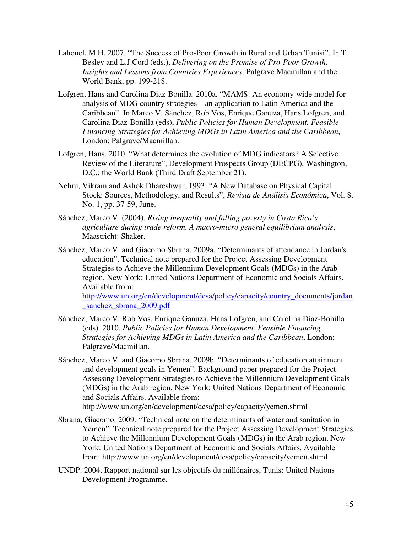- Lahouel, M.H. 2007. "The Success of Pro-Poor Growth in Rural and Urban Tunisi". In T. Besley and L.J.Cord (eds.), *Delivering on the Promise of Pro-Poor Growth. Insights and Lessons from Countries Experiences*. Palgrave Macmillan and the World Bank, pp. 199-218.
- Lofgren, Hans and Carolina Diaz-Bonilla. 2010a. "MAMS: An economy-wide model for analysis of MDG country strategies – an application to Latin America and the Caribbean". In Marco V. Sánchez, Rob Vos, Enrique Ganuza, Hans Lofgren, and Carolina Diaz-Bonilla (eds), *Public Policies for Human Development. Feasible Financing Strategies for Achieving MDGs in Latin America and the Caribbean*, London: Palgrave/Macmillan.
- Lofgren, Hans. 2010. "What determines the evolution of MDG indicators? A Selective Review of the Literature", Development Prospects Group (DECPG), Washington, D.C.: the World Bank (Third Draft September 21).
- Nehru, Vikram and Ashok Dhareshwar. 1993. "A New Database on Physical Capital Stock: Sources, Methodology, and Results", *Revista de Análisis Económica*, Vol. 8, No. 1, pp. 37-59, June.
- Sánchez, Marco V. (2004). *Rising inequality and falling poverty in Costa Rica's agriculture during trade reform. A macro-micro general equilibrium analysis*, Maastricht: Shaker.
- Sánchez, Marco V. and Giacomo Sbrana. 2009a. "Determinants of attendance in Jordan's education". Technical note prepared for the Project Assessing Development Strategies to Achieve the Millennium Development Goals (MDGs) in the Arab region, New York: United Nations Department of Economic and Socials Affairs. Available from: http://www.un.org/en/development/desa/policy/capacity/country\_documents/jordan sanchez sbrana 2009.pdf
- Sánchez, Marco V, Rob Vos, Enrique Ganuza, Hans Lofgren, and Carolina Diaz-Bonilla (eds). 2010. *Public Policies for Human Development. Feasible Financing Strategies for Achieving MDGs in Latin America and the Caribbean*, London: Palgrave/Macmillan.
- Sánchez, Marco V. and Giacomo Sbrana. 2009b. "Determinants of education attainment and development goals in Yemen". Background paper prepared for the Project Assessing Development Strategies to Achieve the Millennium Development Goals (MDGs) in the Arab region, New York: United Nations Department of Economic and Socials Affairs. Available from: http://www.un.org/en/development/desa/policy/capacity/yemen.shtml
- Sbrana, Giacomo. 2009. "Technical note on the determinants of water and sanitation in Yemen". Technical note prepared for the Project Assessing Development Strategies to Achieve the Millennium Development Goals (MDGs) in the Arab region, New York: United Nations Department of Economic and Socials Affairs. Available from: http://www.un.org/en/development/desa/policy/capacity/yemen.shtml
- UNDP. 2004. Rapport national sur les objectifs du millénaires, Tunis: United Nations Development Programme.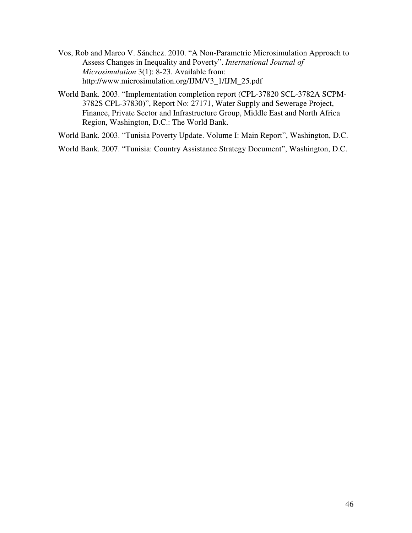- Vos, Rob and Marco V. Sánchez. 2010. "A Non-Parametric Microsimulation Approach to Assess Changes in Inequality and Poverty". *International Journal of Microsimulation* 3(1): 8-23*.* Available from: http://www.microsimulation.org/IJM/V3\_1/IJM\_25.pdf
- World Bank. 2003. "Implementation completion report (CPL-37820 SCL-3782A SCPM-3782S CPL-37830)", Report No: 27171, Water Supply and Sewerage Project, Finance, Private Sector and Infrastructure Group, Middle East and North Africa Region, Washington, D.C.: The World Bank.

World Bank. 2003. "Tunisia Poverty Update. Volume I: Main Report", Washington, D.C.

World Bank. 2007. "Tunisia: Country Assistance Strategy Document", Washington, D.C.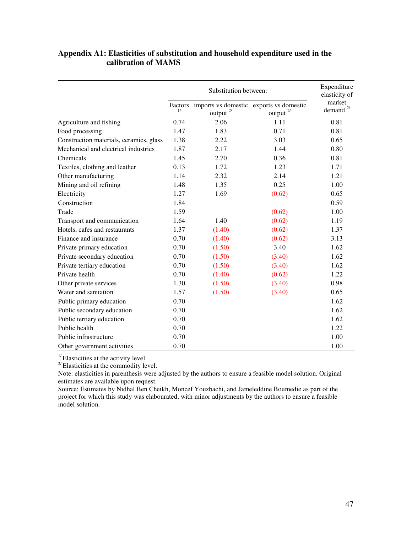## **Appendix A1: Elasticities of substitution and household expenditure used in the calibration of MAMS**

|                                         |      | Expenditure<br>elasticity of                                   |                           |                       |  |
|-----------------------------------------|------|----------------------------------------------------------------|---------------------------|-----------------------|--|
|                                         | 1/   | Factors imports vs domestic exports vs domestic<br>output $2/$ | $\frac{\text{output}}{2}$ | market<br>demand $2/$ |  |
| Agriculture and fishing                 | 0.74 | 2.06                                                           | 1.11                      | 0.81                  |  |
| Food processing                         | 1.47 | 1.83                                                           | 0.71                      | 0.81                  |  |
| Construction materials, ceramics, glass | 1.38 | 2.22                                                           | 3.03                      | 0.65                  |  |
| Mechanical and electrical industries    | 1.87 | 2.17                                                           | 1.44                      | 0.80                  |  |
| Chemicals                               | 1.45 | 2.70                                                           | 0.36                      | 0.81                  |  |
| Textiles, clothing and leather          | 0.13 | 1.72                                                           | 1.23                      | 1.71                  |  |
| Other manufacturing                     | 1.14 | 2.32                                                           | 2.14                      | 1.21                  |  |
| Mining and oil refining                 | 1.48 | 1.35                                                           | 0.25                      | 1.00                  |  |
| Electricity                             | 1.27 | 1.69                                                           | (0.62)                    | 0.65                  |  |
| Construction                            | 1.84 |                                                                |                           | 0.59                  |  |
| Trade                                   | 1.59 |                                                                | (0.62)                    | 1.00                  |  |
| Transport and communication             | 1.64 | 1.40                                                           | (0.62)                    | 1.19                  |  |
| Hotels, cafes and restaurants           | 1.37 | (1.40)                                                         | (0.62)                    | 1.37                  |  |
| Finance and insurance                   | 0.70 | (1.40)                                                         | (0.62)                    | 3.13                  |  |
| Private primary education               | 0.70 | (1.50)                                                         | 3.40                      | 1.62                  |  |
| Private secondary education             | 0.70 | (1.50)                                                         | (3.40)                    | 1.62                  |  |
| Private tertiary education              | 0.70 | (1.50)                                                         | (3.40)                    | 1.62                  |  |
| Private health                          | 0.70 | (1.40)                                                         | (0.62)                    | 1.22                  |  |
| Other private services                  | 1.30 | (1.50)                                                         | (3.40)                    | 0.98                  |  |
| Water and sanitation                    | 1.57 | (1.50)                                                         | (3.40)                    | 0.65                  |  |
| Public primary education                | 0.70 |                                                                |                           | 1.62                  |  |
| Public secondary education              | 0.70 |                                                                |                           | 1.62                  |  |
| Public tertiary education               | 0.70 |                                                                |                           | 1.62                  |  |
| Public health                           | 0.70 |                                                                |                           | 1.22                  |  |
| Public infrastructure                   | 0.70 |                                                                |                           | 1.00                  |  |
| Other government activities             | 0.70 |                                                                |                           | 1.00                  |  |

 $<sup>1</sup>$  Elasticities at the activity level.</sup>

 $^{27}$ Elasticities at the commodity level.

Note: elasticities in parenthesis were adjusted by the authors to ensure a feasible model solution. Original estimates are available upon request.

Source: Estimates by Nidhal Ben Cheikh, Moncef Youzbachi, and Jameleddine Boumedie as part of the project for which this study was elabourated, with minor adjustments by the authors to ensure a feasible model solution.